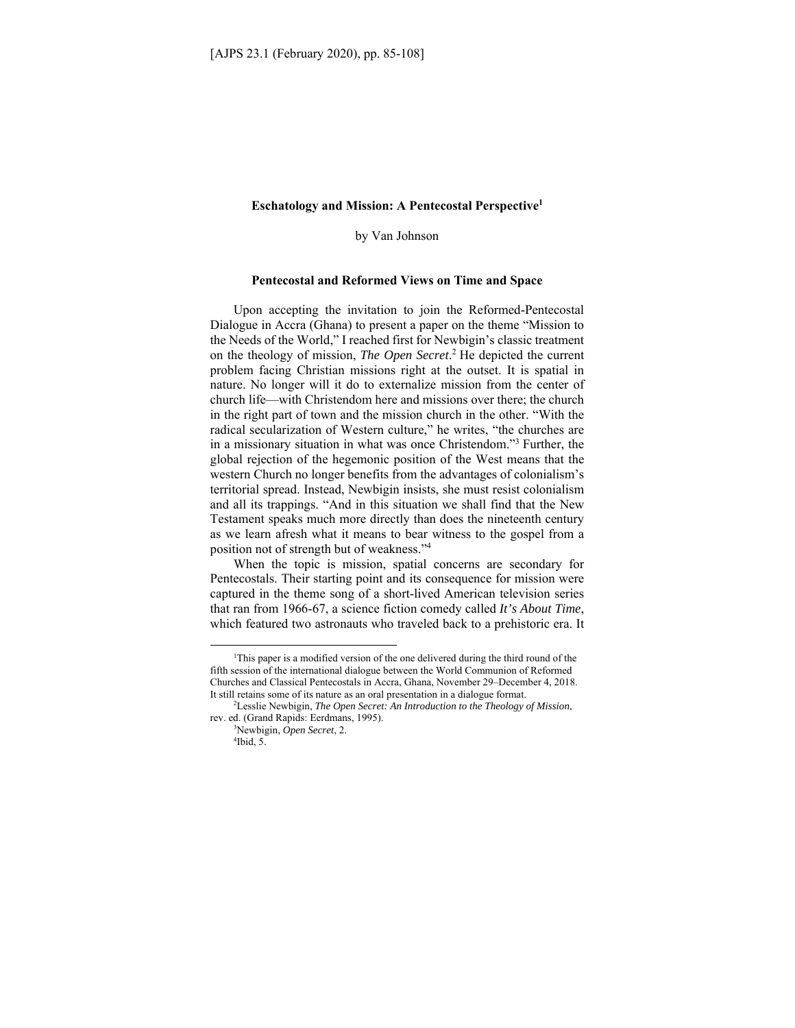# **Eschatology and Mission: A Pentecostal Perspective1**

by Van Johnson

#### **Pentecostal and Reformed Views on Time and Space**

Upon accepting the invitation to join the Reformed-Pentecostal Dialogue in Accra (Ghana) to present a paper on the theme "Mission to the Needs of the World," I reached first for Newbigin's classic treatment on the theology of mission, *The Open Secret*. 2 He depicted the current problem facing Christian missions right at the outset. It is spatial in nature. No longer will it do to externalize mission from the center of church life––with Christendom here and missions over there; the church in the right part of town and the mission church in the other. "With the radical secularization of Western culture," he writes, "the churches are in a missionary situation in what was once Christendom."3 Further, the global rejection of the hegemonic position of the West means that the western Church no longer benefits from the advantages of colonialism's territorial spread. Instead, Newbigin insists, she must resist colonialism and all its trappings. "And in this situation we shall find that the New Testament speaks much more directly than does the nineteenth century as we learn afresh what it means to bear witness to the gospel from a position not of strength but of weakness."4

When the topic is mission, spatial concerns are secondary for Pentecostals. Their starting point and its consequence for mission were captured in the theme song of a short-lived American television series that ran from 1966-67, a science fiction comedy called *It's About Time*, which featured two astronauts who traveled back to a prehistoric era. It

<sup>&</sup>lt;sup>1</sup>This paper is a modified version of the one delivered during the third round of the fifth session of the international dialogue between the World Communion of Reformed Churches and Classical Pentecostals in Accra, Ghana, November 29–December 4, 2018. It still retains some of its nature as an oral presentation in a dialogue format. 2

Lesslie Newbigin, *The Open Secret: An Introduction to the Theology of Mission*, rev. ed. (Grand Rapids: Eerdmans, 1995).

Newbigin, *Open Secret*, 2. 4  $4$ Ibid, 5.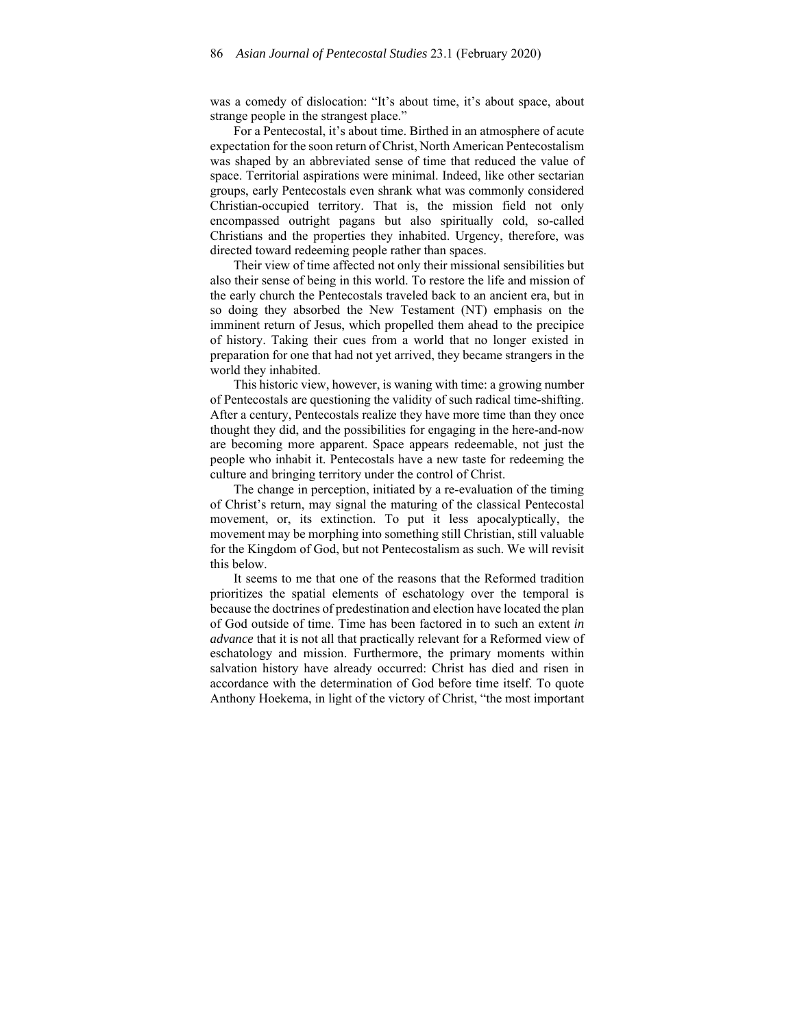was a comedy of dislocation: "It's about time, it's about space, about strange people in the strangest place."

For a Pentecostal, it's about time. Birthed in an atmosphere of acute expectation for the soon return of Christ, North American Pentecostalism was shaped by an abbreviated sense of time that reduced the value of space. Territorial aspirations were minimal. Indeed, like other sectarian groups, early Pentecostals even shrank what was commonly considered Christian-occupied territory. That is, the mission field not only encompassed outright pagans but also spiritually cold, so-called Christians and the properties they inhabited. Urgency, therefore, was directed toward redeeming people rather than spaces.

Their view of time affected not only their missional sensibilities but also their sense of being in this world. To restore the life and mission of the early church the Pentecostals traveled back to an ancient era, but in so doing they absorbed the New Testament (NT) emphasis on the imminent return of Jesus, which propelled them ahead to the precipice of history. Taking their cues from a world that no longer existed in preparation for one that had not yet arrived, they became strangers in the world they inhabited.

This historic view, however, is waning with time: a growing number of Pentecostals are questioning the validity of such radical time-shifting. After a century, Pentecostals realize they have more time than they once thought they did, and the possibilities for engaging in the here-and-now are becoming more apparent. Space appears redeemable, not just the people who inhabit it. Pentecostals have a new taste for redeeming the culture and bringing territory under the control of Christ.

The change in perception, initiated by a re-evaluation of the timing of Christ's return, may signal the maturing of the classical Pentecostal movement, or, its extinction. To put it less apocalyptically, the movement may be morphing into something still Christian, still valuable for the Kingdom of God, but not Pentecostalism as such. We will revisit this below.

It seems to me that one of the reasons that the Reformed tradition prioritizes the spatial elements of eschatology over the temporal is because the doctrines of predestination and election have located the plan of God outside of time. Time has been factored in to such an extent *in advance* that it is not all that practically relevant for a Reformed view of eschatology and mission. Furthermore, the primary moments within salvation history have already occurred: Christ has died and risen in accordance with the determination of God before time itself. To quote Anthony Hoekema, in light of the victory of Christ, "the most important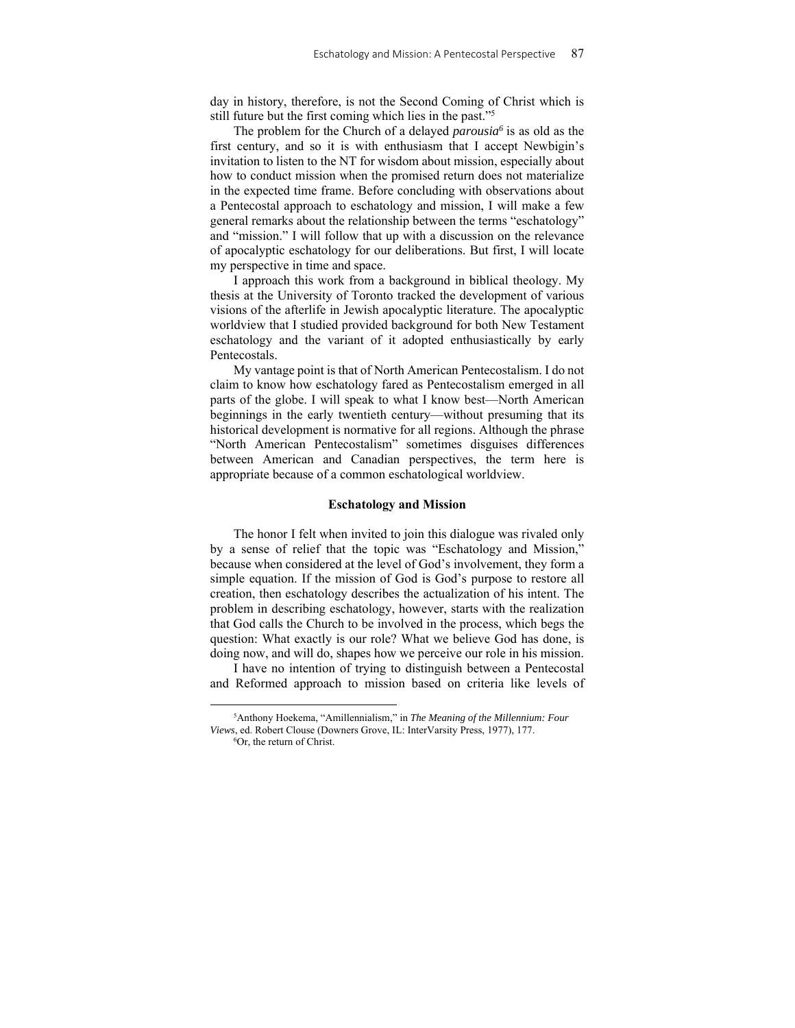day in history, therefore, is not the Second Coming of Christ which is still future but the first coming which lies in the past."5

The problem for the Church of a delayed *parousia6* is as old as the first century, and so it is with enthusiasm that I accept Newbigin's invitation to listen to the NT for wisdom about mission, especially about how to conduct mission when the promised return does not materialize in the expected time frame. Before concluding with observations about a Pentecostal approach to eschatology and mission, I will make a few general remarks about the relationship between the terms "eschatology" and "mission." I will follow that up with a discussion on the relevance of apocalyptic eschatology for our deliberations. But first, I will locate my perspective in time and space.

I approach this work from a background in biblical theology. My thesis at the University of Toronto tracked the development of various visions of the afterlife in Jewish apocalyptic literature. The apocalyptic worldview that I studied provided background for both New Testament eschatology and the variant of it adopted enthusiastically by early Pentecostals.

My vantage point is that of North American Pentecostalism. I do not claim to know how eschatology fared as Pentecostalism emerged in all parts of the globe. I will speak to what I know best––North American beginnings in the early twentieth century––without presuming that its historical development is normative for all regions. Although the phrase "North American Pentecostalism" sometimes disguises differences between American and Canadian perspectives, the term here is appropriate because of a common eschatological worldview.

## **Eschatology and Mission**

The honor I felt when invited to join this dialogue was rivaled only by a sense of relief that the topic was "Eschatology and Mission," because when considered at the level of God's involvement, they form a simple equation. If the mission of God is God's purpose to restore all creation, then eschatology describes the actualization of his intent. The problem in describing eschatology, however, starts with the realization that God calls the Church to be involved in the process, which begs the question: What exactly is our role? What we believe God has done, is doing now, and will do, shapes how we perceive our role in his mission.

I have no intention of trying to distinguish between a Pentecostal and Reformed approach to mission based on criteria like levels of

 ${}^{6}$ Or, the return of Christ.

<sup>5</sup> Anthony Hoekema, "Amillennialism," in *The Meaning of the Millennium: Four Views*, ed. Robert Clouse (Downers Grove, IL: InterVarsity Press, 1977), 177.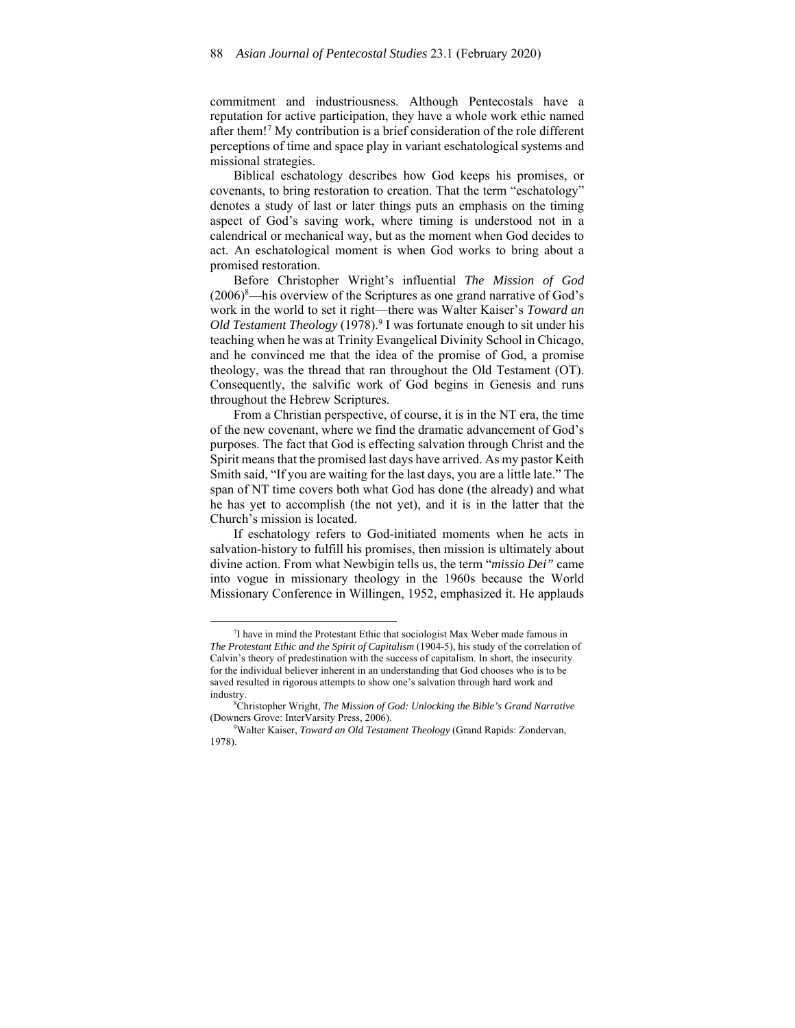commitment and industriousness. Although Pentecostals have a reputation for active participation, they have a whole work ethic named after them!7 My contribution is a brief consideration of the role different perceptions of time and space play in variant eschatological systems and missional strategies.

Biblical eschatology describes how God keeps his promises, or covenants, to bring restoration to creation. That the term "eschatology" denotes a study of last or later things puts an emphasis on the timing aspect of God's saving work, where timing is understood not in a calendrical or mechanical way, but as the moment when God decides to act. An eschatological moment is when God works to bring about a promised restoration.

Before Christopher Wright's influential *The Mission of God*   $(2006)^8$ —his overview of the Scriptures as one grand narrative of God's work in the world to set it right––there was Walter Kaiser's *Toward an*  Old Testament Theology (1978).<sup>9</sup> I was fortunate enough to sit under his teaching when he was at Trinity Evangelical Divinity School in Chicago, and he convinced me that the idea of the promise of God, a promise theology, was the thread that ran throughout the Old Testament (OT). Consequently, the salvific work of God begins in Genesis and runs throughout the Hebrew Scriptures.

From a Christian perspective, of course, it is in the NT era, the time of the new covenant, where we find the dramatic advancement of God's purposes. The fact that God is effecting salvation through Christ and the Spirit means that the promised last days have arrived. As my pastor Keith Smith said, "If you are waiting for the last days, you are a little late." The span of NT time covers both what God has done (the already) and what he has yet to accomplish (the not yet), and it is in the latter that the Church's mission is located.

If eschatology refers to God-initiated moments when he acts in salvation-history to fulfill his promises, then mission is ultimately about divine action. From what Newbigin tells us, the term "*missio Dei"* came into vogue in missionary theology in the 1960s because the World Missionary Conference in Willingen, 1952, emphasized it. He applauds

<sup>&</sup>lt;sup>7</sup>I have in mind the Protestant Ethic that sociologist Max Weber made famous in *The Protestant Ethic and the Spirit of Capitalism* (1904-5), his study of the correlation of Calvin's theory of predestination with the success of capitalism. In short, the insecurity for the individual believer inherent in an understanding that God chooses who is to be saved resulted in rigorous attempts to show one's salvation through hard work and industry.

Christopher Wright, *The Mission of God: Unlocking the Bible's Grand Narrative* (Downers Grove: InterVarsity Press, 2006).

Walter Kaiser, *Toward an Old Testament Theology* (Grand Rapids: Zondervan, 1978).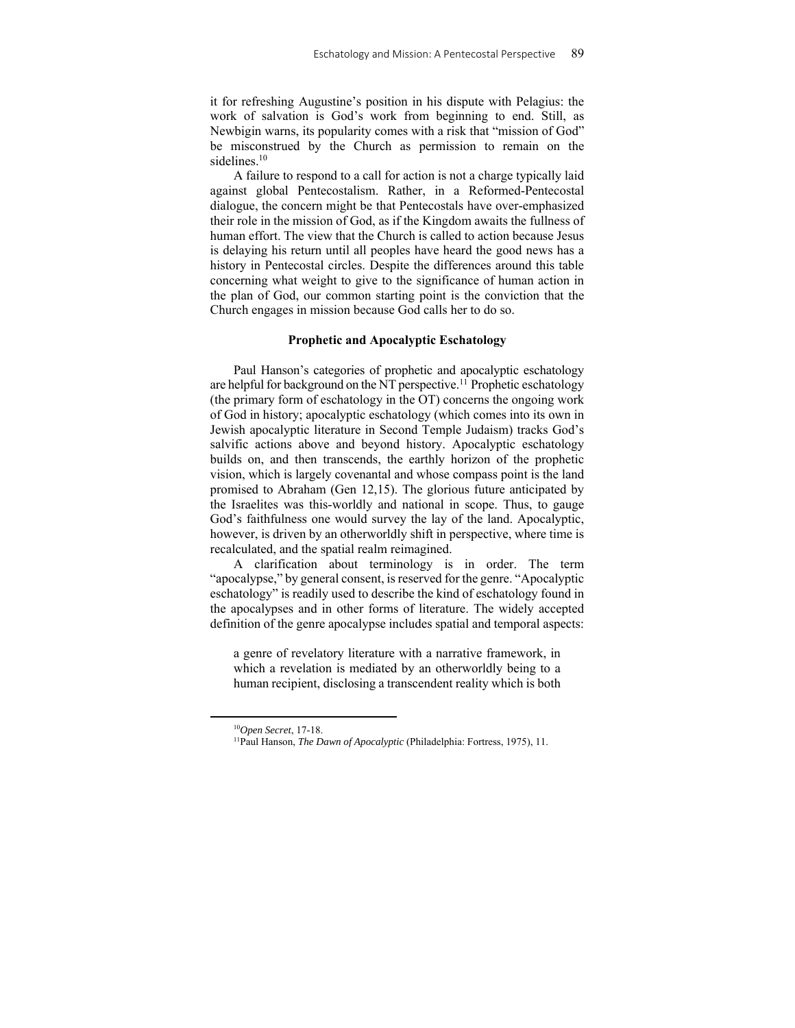it for refreshing Augustine's position in his dispute with Pelagius: the work of salvation is God's work from beginning to end. Still, as Newbigin warns, its popularity comes with a risk that "mission of God" be misconstrued by the Church as permission to remain on the sidelines.<sup>10</sup>

A failure to respond to a call for action is not a charge typically laid against global Pentecostalism. Rather, in a Reformed-Pentecostal dialogue, the concern might be that Pentecostals have over-emphasized their role in the mission of God, as if the Kingdom awaits the fullness of human effort. The view that the Church is called to action because Jesus is delaying his return until all peoples have heard the good news has a history in Pentecostal circles. Despite the differences around this table concerning what weight to give to the significance of human action in the plan of God, our common starting point is the conviction that the Church engages in mission because God calls her to do so.

## **Prophetic and Apocalyptic Eschatology**

Paul Hanson's categories of prophetic and apocalyptic eschatology are helpful for background on the NT perspective.<sup>11</sup> Prophetic eschatology (the primary form of eschatology in the OT) concerns the ongoing work of God in history; apocalyptic eschatology (which comes into its own in Jewish apocalyptic literature in Second Temple Judaism) tracks God's salvific actions above and beyond history. Apocalyptic eschatology builds on, and then transcends, the earthly horizon of the prophetic vision, which is largely covenantal and whose compass point is the land promised to Abraham (Gen 12,15). The glorious future anticipated by the Israelites was this-worldly and national in scope. Thus, to gauge God's faithfulness one would survey the lay of the land. Apocalyptic, however, is driven by an otherworldly shift in perspective, where time is recalculated, and the spatial realm reimagined.

A clarification about terminology is in order. The term "apocalypse," by general consent, is reserved for the genre. "Apocalyptic eschatology" is readily used to describe the kind of eschatology found in the apocalypses and in other forms of literature. The widely accepted definition of the genre apocalypse includes spatial and temporal aspects:

a genre of revelatory literature with a narrative framework, in which a revelation is mediated by an otherworldly being to a human recipient, disclosing a transcendent reality which is both

<sup>&</sup>lt;sup>10</sup>Open Secret, 17-18.<br><sup>11</sup>Paul Hanson, *The Dawn of Apocalyptic* (Philadelphia: Fortress, 1975), 11.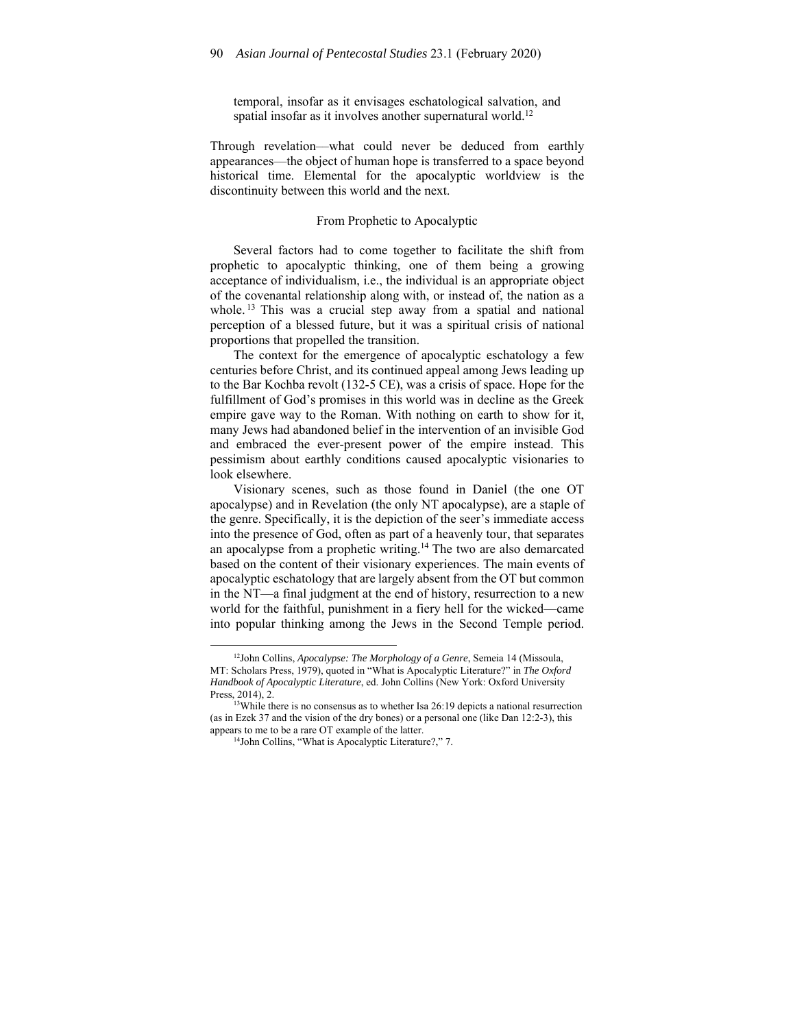temporal, insofar as it envisages eschatological salvation, and spatial insofar as it involves another supernatural world.<sup>12</sup>

Through revelation––what could never be deduced from earthly appearances––the object of human hope is transferred to a space beyond historical time. Elemental for the apocalyptic worldview is the discontinuity between this world and the next.

## From Prophetic to Apocalyptic

Several factors had to come together to facilitate the shift from prophetic to apocalyptic thinking, one of them being a growing acceptance of individualism, i.e., the individual is an appropriate object of the covenantal relationship along with, or instead of, the nation as a whole.<sup>13</sup> This was a crucial step away from a spatial and national perception of a blessed future, but it was a spiritual crisis of national proportions that propelled the transition.

The context for the emergence of apocalyptic eschatology a few centuries before Christ, and its continued appeal among Jews leading up to the Bar Kochba revolt (132-5 CE), was a crisis of space. Hope for the fulfillment of God's promises in this world was in decline as the Greek empire gave way to the Roman. With nothing on earth to show for it, many Jews had abandoned belief in the intervention of an invisible God and embraced the ever-present power of the empire instead. This pessimism about earthly conditions caused apocalyptic visionaries to look elsewhere.

Visionary scenes, such as those found in Daniel (the one OT apocalypse) and in Revelation (the only NT apocalypse), are a staple of the genre. Specifically, it is the depiction of the seer's immediate access into the presence of God, often as part of a heavenly tour, that separates an apocalypse from a prophetic writing.14 The two are also demarcated based on the content of their visionary experiences. The main events of apocalyptic eschatology that are largely absent from the OT but common in the NT––a final judgment at the end of history, resurrection to a new world for the faithful, punishment in a fiery hell for the wicked––came into popular thinking among the Jews in the Second Temple period.

<sup>12</sup>John Collins, *Apocalypse: The Morphology of a Genre*, Semeia 14 (Missoula, MT: Scholars Press, 1979), quoted in "What is Apocalyptic Literature?" in *The Oxford Handbook of Apocalyptic Literature*, ed. John Collins (New York: Oxford University Press, 2014), 2.<br><sup>13</sup>While there is no consensus as to whether Isa 26:19 depicts a national resurrection

<sup>(</sup>as in Ezek 37 and the vision of the dry bones) or a personal one (like Dan 12:2-3), this appears to me to be a rare OT example of the latter.

<sup>&</sup>lt;sup>14</sup>John Collins, "What is Apocalyptic Literature?," 7.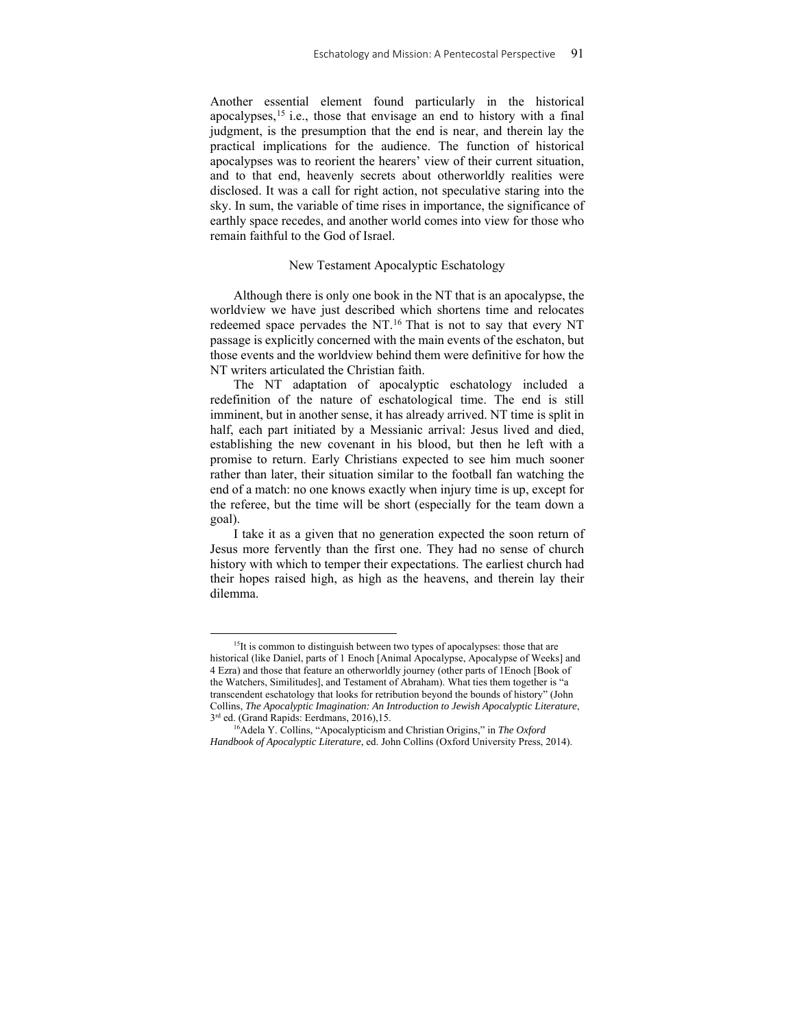Another essential element found particularly in the historical apocalypses,15 i.e., those that envisage an end to history with a final judgment, is the presumption that the end is near, and therein lay the practical implications for the audience. The function of historical apocalypses was to reorient the hearers' view of their current situation, and to that end, heavenly secrets about otherworldly realities were disclosed. It was a call for right action, not speculative staring into the sky. In sum, the variable of time rises in importance, the significance of earthly space recedes, and another world comes into view for those who remain faithful to the God of Israel.

## New Testament Apocalyptic Eschatology

Although there is only one book in the NT that is an apocalypse, the worldview we have just described which shortens time and relocates redeemed space pervades the NT.<sup>16</sup> That is not to say that every NT passage is explicitly concerned with the main events of the eschaton, but those events and the worldview behind them were definitive for how the NT writers articulated the Christian faith.

The NT adaptation of apocalyptic eschatology included a redefinition of the nature of eschatological time. The end is still imminent, but in another sense, it has already arrived. NT time is split in half, each part initiated by a Messianic arrival: Jesus lived and died, establishing the new covenant in his blood, but then he left with a promise to return. Early Christians expected to see him much sooner rather than later, their situation similar to the football fan watching the end of a match: no one knows exactly when injury time is up, except for the referee, but the time will be short (especially for the team down a goal).

I take it as a given that no generation expected the soon return of Jesus more fervently than the first one. They had no sense of church history with which to temper their expectations. The earliest church had their hopes raised high, as high as the heavens, and therein lay their dilemma.

<sup>&</sup>lt;sup>15</sup>It is common to distinguish between two types of apocalypses: those that are historical (like Daniel, parts of 1 Enoch [Animal Apocalypse, Apocalypse of Weeks] and 4 Ezra) and those that feature an otherworldly journey (other parts of 1Enoch [Book of the Watchers, Similitudes], and Testament of Abraham). What ties them together is "a transcendent eschatology that looks for retribution beyond the bounds of history" (John Collins, *The Apocalyptic Imagination: An Introduction to Jewish Apocalyptic Literature*, 3<sup>rd</sup> ed. (Grand Rapids: Eerdmans, 2016),15.<br><sup>16</sup>Adela Y. Collins, "Apocalypticism and Christian Origins," in *The Oxford* 

*Handbook of Apocalyptic Literature*, ed. John Collins (Oxford University Press, 2014).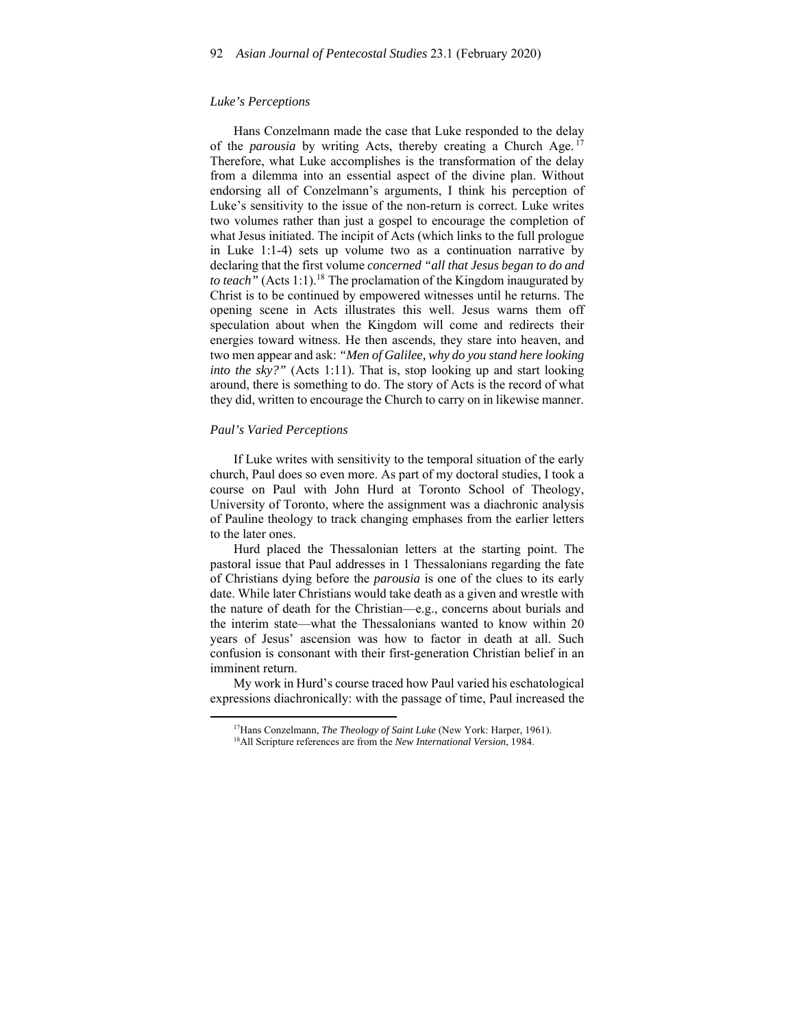## *Luke's Perceptions*

Hans Conzelmann made the case that Luke responded to the delay of the *parousia* by writing Acts, thereby creating a Church Age. <sup>17</sup> Therefore, what Luke accomplishes is the transformation of the delay from a dilemma into an essential aspect of the divine plan. Without endorsing all of Conzelmann's arguments, I think his perception of Luke's sensitivity to the issue of the non-return is correct. Luke writes two volumes rather than just a gospel to encourage the completion of what Jesus initiated. The incipit of Acts (which links to the full prologue in Luke 1:1-4) sets up volume two as a continuation narrative by declaring that the first volume *concerned "all that Jesus began to do and to teach"* (Acts 1:1).18 The proclamation of the Kingdom inaugurated by Christ is to be continued by empowered witnesses until he returns. The opening scene in Acts illustrates this well. Jesus warns them off speculation about when the Kingdom will come and redirects their energies toward witness. He then ascends, they stare into heaven, and two men appear and ask: *"Men of Galilee, why do you stand here looking into the sky?"* (Acts 1:11). That is, stop looking up and start looking around, there is something to do. The story of Acts is the record of what they did, written to encourage the Church to carry on in likewise manner.

#### *Paul's Varied Perceptions*

If Luke writes with sensitivity to the temporal situation of the early church, Paul does so even more. As part of my doctoral studies, I took a course on Paul with John Hurd at Toronto School of Theology, University of Toronto, where the assignment was a diachronic analysis of Pauline theology to track changing emphases from the earlier letters to the later ones.

Hurd placed the Thessalonian letters at the starting point. The pastoral issue that Paul addresses in 1 Thessalonians regarding the fate of Christians dying before the *parousia* is one of the clues to its early date. While later Christians would take death as a given and wrestle with the nature of death for the Christian––e.g., concerns about burials and the interim state––what the Thessalonians wanted to know within 20 years of Jesus' ascension was how to factor in death at all. Such confusion is consonant with their first-generation Christian belief in an imminent return.

My work in Hurd's course traced how Paul varied his eschatological expressions diachronically: with the passage of time, Paul increased the

<sup>17</sup>Hans Conzelmann, *The Theology of Saint Luke* (New York: Harper, 1961). 18All Scripture references are from the *New International Version*, 1984.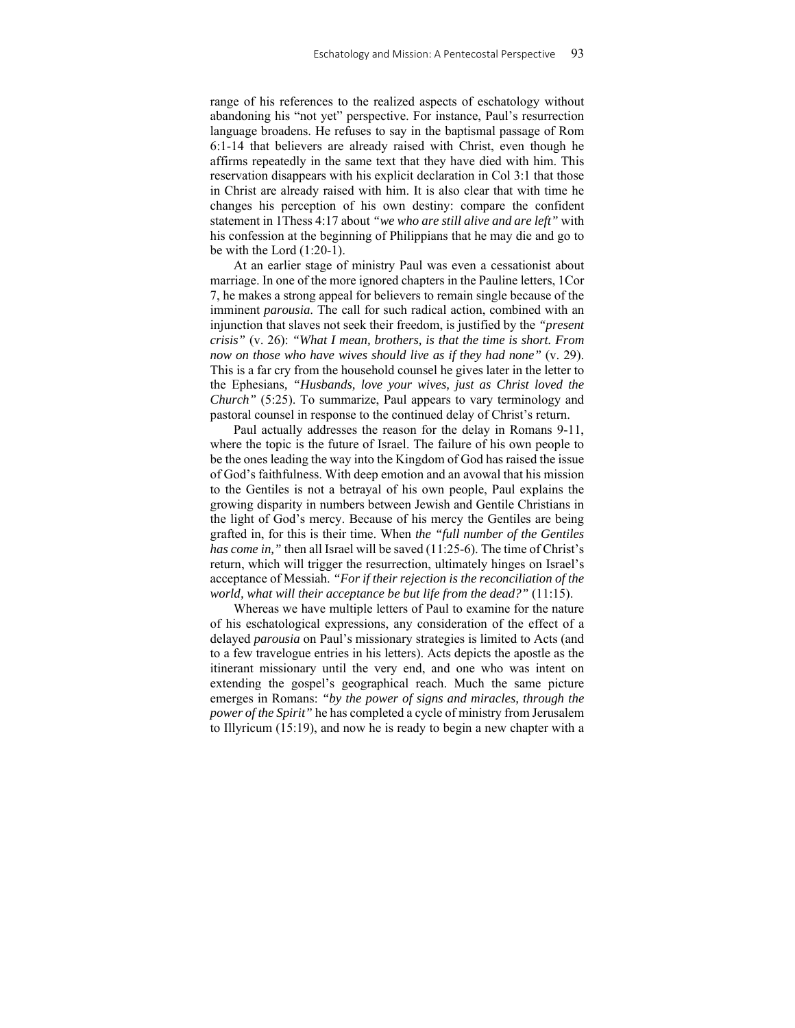range of his references to the realized aspects of eschatology without abandoning his "not yet" perspective. For instance, Paul's resurrection language broadens. He refuses to say in the baptismal passage of Rom 6:1-14 that believers are already raised with Christ, even though he affirms repeatedly in the same text that they have died with him. This reservation disappears with his explicit declaration in Col 3:1 that those in Christ are already raised with him. It is also clear that with time he changes his perception of his own destiny: compare the confident statement in 1Thess 4:17 about *"we who are still alive and are left"* with his confession at the beginning of Philippians that he may die and go to be with the Lord (1:20-1).

At an earlier stage of ministry Paul was even a cessationist about marriage. In one of the more ignored chapters in the Pauline letters, 1Cor 7, he makes a strong appeal for believers to remain single because of the imminent *parousia*. The call for such radical action, combined with an injunction that slaves not seek their freedom, is justified by the *"present crisis"* (v. 26): *"What I mean, brothers, is that the time is short. From now on those who have wives should live as if they had none"* (v. 29). This is a far cry from the household counsel he gives later in the letter to the Ephesians*, "Husbands, love your wives, just as Christ loved the Church"* (5:25). To summarize, Paul appears to vary terminology and pastoral counsel in response to the continued delay of Christ's return.

Paul actually addresses the reason for the delay in Romans 9-11, where the topic is the future of Israel. The failure of his own people to be the ones leading the way into the Kingdom of God has raised the issue of God's faithfulness. With deep emotion and an avowal that his mission to the Gentiles is not a betrayal of his own people, Paul explains the growing disparity in numbers between Jewish and Gentile Christians in the light of God's mercy. Because of his mercy the Gentiles are being grafted in, for this is their time. When *the "full number of the Gentiles has come in,"* then all Israel will be saved (11:25-6). The time of Christ's return, which will trigger the resurrection, ultimately hinges on Israel's acceptance of Messiah. *"For if their rejection is the reconciliation of the world, what will their acceptance be but life from the dead?"* (11:15).

Whereas we have multiple letters of Paul to examine for the nature of his eschatological expressions, any consideration of the effect of a delayed *parousia* on Paul's missionary strategies is limited to Acts (and to a few travelogue entries in his letters). Acts depicts the apostle as the itinerant missionary until the very end, and one who was intent on extending the gospel's geographical reach. Much the same picture emerges in Romans: *"by the power of signs and miracles, through the power of the Spirit"* he has completed a cycle of ministry from Jerusalem to Illyricum (15:19), and now he is ready to begin a new chapter with a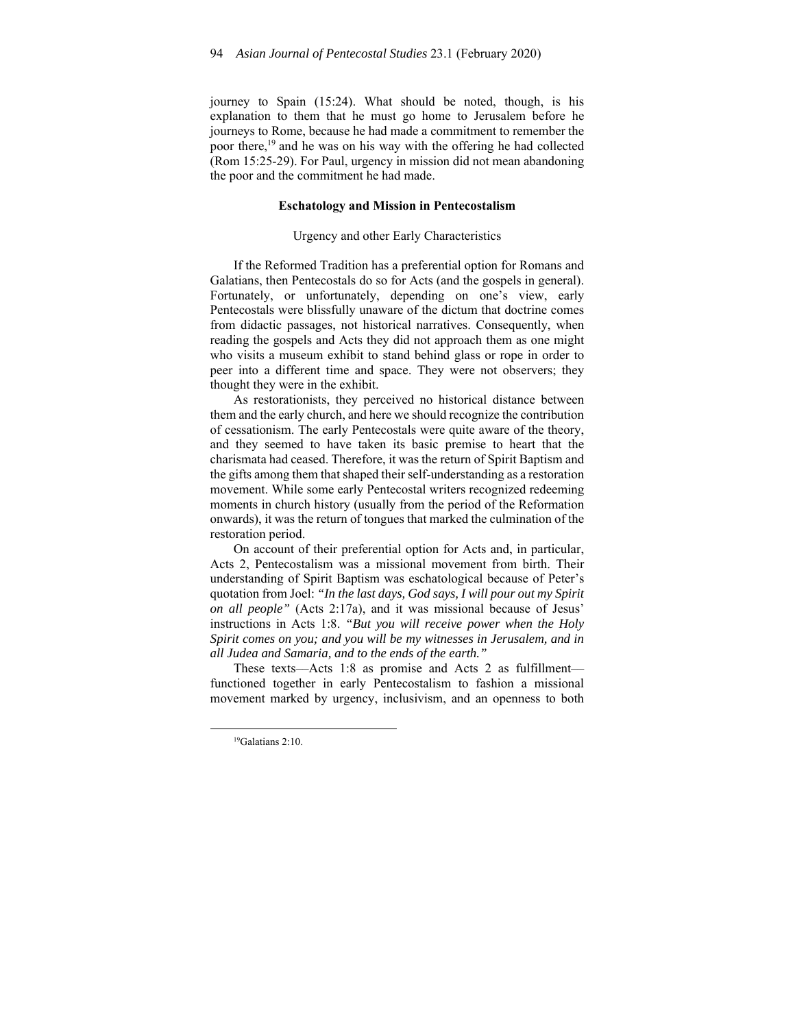journey to Spain (15:24). What should be noted, though, is his explanation to them that he must go home to Jerusalem before he journeys to Rome, because he had made a commitment to remember the poor there,19 and he was on his way with the offering he had collected (Rom 15:25-29). For Paul, urgency in mission did not mean abandoning the poor and the commitment he had made.

## **Eschatology and Mission in Pentecostalism**

#### Urgency and other Early Characteristics

If the Reformed Tradition has a preferential option for Romans and Galatians, then Pentecostals do so for Acts (and the gospels in general). Fortunately, or unfortunately, depending on one's view, early Pentecostals were blissfully unaware of the dictum that doctrine comes from didactic passages, not historical narratives. Consequently, when reading the gospels and Acts they did not approach them as one might who visits a museum exhibit to stand behind glass or rope in order to peer into a different time and space. They were not observers; they thought they were in the exhibit.

As restorationists, they perceived no historical distance between them and the early church, and here we should recognize the contribution of cessationism. The early Pentecostals were quite aware of the theory, and they seemed to have taken its basic premise to heart that the charismata had ceased. Therefore, it was the return of Spirit Baptism and the gifts among them that shaped their self-understanding as a restoration movement. While some early Pentecostal writers recognized redeeming moments in church history (usually from the period of the Reformation onwards), it was the return of tongues that marked the culmination of the restoration period.

On account of their preferential option for Acts and, in particular, Acts 2, Pentecostalism was a missional movement from birth. Their understanding of Spirit Baptism was eschatological because of Peter's quotation from Joel: *"In the last days, God says, I will pour out my Spirit on all people"* (Acts 2:17a), and it was missional because of Jesus' instructions in Acts 1:8. *"But you will receive power when the Holy Spirit comes on you; and you will be my witnesses in Jerusalem, and in all Judea and Samaria, and to the ends of the earth."*

These texts—Acts 1:8 as promise and Acts 2 as fulfillment functioned together in early Pentecostalism to fashion a missional movement marked by urgency, inclusivism, and an openness to both

<sup>19</sup>Galatians 2:10.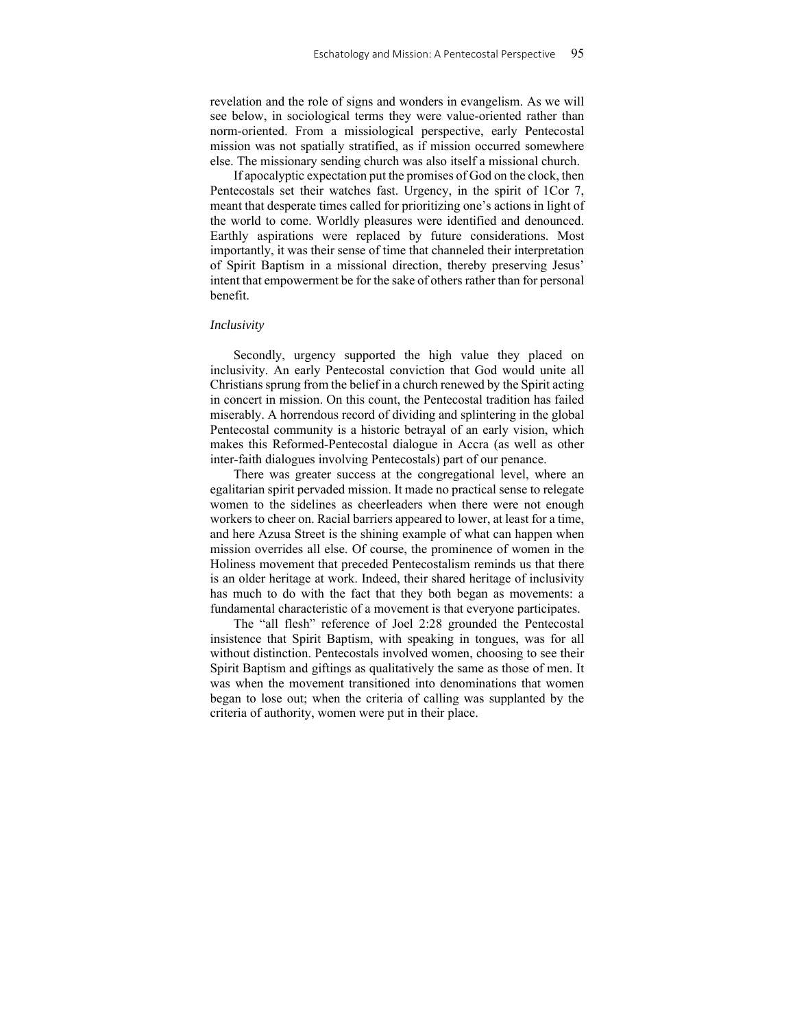revelation and the role of signs and wonders in evangelism. As we will see below, in sociological terms they were value-oriented rather than norm-oriented. From a missiological perspective, early Pentecostal mission was not spatially stratified, as if mission occurred somewhere else. The missionary sending church was also itself a missional church.

If apocalyptic expectation put the promises of God on the clock, then Pentecostals set their watches fast. Urgency, in the spirit of 1Cor 7, meant that desperate times called for prioritizing one's actions in light of the world to come. Worldly pleasures were identified and denounced. Earthly aspirations were replaced by future considerations. Most importantly, it was their sense of time that channeled their interpretation of Spirit Baptism in a missional direction, thereby preserving Jesus' intent that empowerment be for the sake of others rather than for personal benefit.

### *Inclusivity*

Secondly, urgency supported the high value they placed on inclusivity. An early Pentecostal conviction that God would unite all Christians sprung from the belief in a church renewed by the Spirit acting in concert in mission. On this count, the Pentecostal tradition has failed miserably. A horrendous record of dividing and splintering in the global Pentecostal community is a historic betrayal of an early vision, which makes this Reformed-Pentecostal dialogue in Accra (as well as other inter-faith dialogues involving Pentecostals) part of our penance.

There was greater success at the congregational level, where an egalitarian spirit pervaded mission. It made no practical sense to relegate women to the sidelines as cheerleaders when there were not enough workers to cheer on. Racial barriers appeared to lower, at least for a time, and here Azusa Street is the shining example of what can happen when mission overrides all else. Of course, the prominence of women in the Holiness movement that preceded Pentecostalism reminds us that there is an older heritage at work. Indeed, their shared heritage of inclusivity has much to do with the fact that they both began as movements: a fundamental characteristic of a movement is that everyone participates.

The "all flesh" reference of Joel 2:28 grounded the Pentecostal insistence that Spirit Baptism, with speaking in tongues, was for all without distinction. Pentecostals involved women, choosing to see their Spirit Baptism and giftings as qualitatively the same as those of men. It was when the movement transitioned into denominations that women began to lose out; when the criteria of calling was supplanted by the criteria of authority, women were put in their place.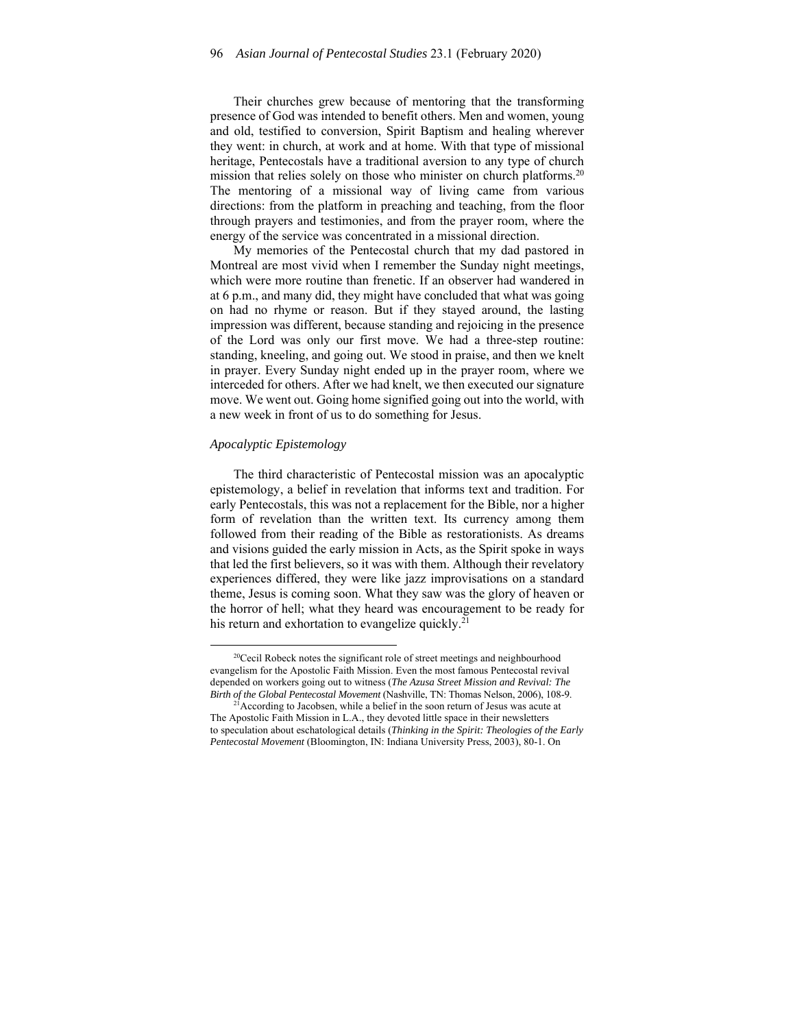Their churches grew because of mentoring that the transforming presence of God was intended to benefit others. Men and women, young and old, testified to conversion, Spirit Baptism and healing wherever they went: in church, at work and at home. With that type of missional heritage, Pentecostals have a traditional aversion to any type of church mission that relies solely on those who minister on church platforms.<sup>20</sup> The mentoring of a missional way of living came from various directions: from the platform in preaching and teaching, from the floor through prayers and testimonies, and from the prayer room, where the energy of the service was concentrated in a missional direction.

My memories of the Pentecostal church that my dad pastored in Montreal are most vivid when I remember the Sunday night meetings, which were more routine than frenetic. If an observer had wandered in at 6 p.m., and many did, they might have concluded that what was going on had no rhyme or reason. But if they stayed around, the lasting impression was different, because standing and rejoicing in the presence of the Lord was only our first move. We had a three-step routine: standing, kneeling, and going out. We stood in praise, and then we knelt in prayer. Every Sunday night ended up in the prayer room, where we interceded for others. After we had knelt, we then executed our signature move. We went out. Going home signified going out into the world, with a new week in front of us to do something for Jesus.

## *Apocalyptic Epistemology*

The third characteristic of Pentecostal mission was an apocalyptic epistemology, a belief in revelation that informs text and tradition. For early Pentecostals, this was not a replacement for the Bible, nor a higher form of revelation than the written text. Its currency among them followed from their reading of the Bible as restorationists. As dreams and visions guided the early mission in Acts, as the Spirit spoke in ways that led the first believers, so it was with them. Although their revelatory experiences differed, they were like jazz improvisations on a standard theme, Jesus is coming soon. What they saw was the glory of heaven or the horror of hell; what they heard was encouragement to be ready for his return and exhortation to evangelize quickly.<sup>21</sup>

<sup>&</sup>lt;sup>20</sup>Cecil Robeck notes the significant role of street meetings and neighbourhood evangelism for the Apostolic Faith Mission. Even the most famous Pentecostal revival depended on workers going out to witness (*The Azusa Street Mission and Revival: The Birth of the Global Pentecostal Movement* (Nashville, TN: Thomas Nelson, 2006), 108-9. <sup>21</sup>According to Jacobsen, while a belief in the soon return of Jesus was acute at

The Apostolic Faith Mission in L.A., they devoted little space in their newsletters to speculation about eschatological details (*Thinking in the Spirit: Theologies of the Early Pentecostal Movement* (Bloomington, IN: Indiana University Press, 2003), 80-1. On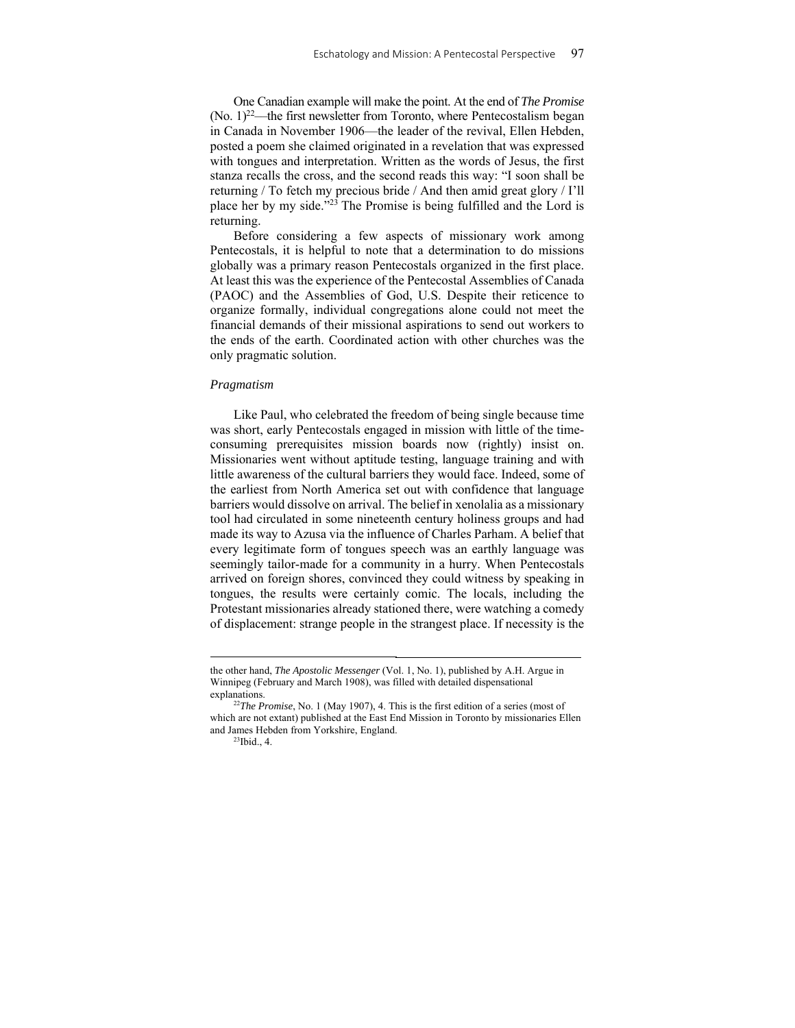One Canadian example will make the point. At the end of *The Promise*  $(N<sub>0</sub>, 1)<sup>22</sup>$ —the first newsletter from Toronto, where Pentecostalism began in Canada in November 1906––the leader of the revival, Ellen Hebden, posted a poem she claimed originated in a revelation that was expressed with tongues and interpretation. Written as the words of Jesus, the first stanza recalls the cross, and the second reads this way: "I soon shall be returning / To fetch my precious bride / And then amid great glory / I'll place her by my side."23 The Promise is being fulfilled and the Lord is returning.

Before considering a few aspects of missionary work among Pentecostals, it is helpful to note that a determination to do missions globally was a primary reason Pentecostals organized in the first place. At least this was the experience of the Pentecostal Assemblies of Canada (PAOC) and the Assemblies of God, U.S. Despite their reticence to organize formally, individual congregations alone could not meet the financial demands of their missional aspirations to send out workers to the ends of the earth. Coordinated action with other churches was the only pragmatic solution.

#### *Pragmatism*

Like Paul, who celebrated the freedom of being single because time was short, early Pentecostals engaged in mission with little of the timeconsuming prerequisites mission boards now (rightly) insist on. Missionaries went without aptitude testing, language training and with little awareness of the cultural barriers they would face. Indeed, some of the earliest from North America set out with confidence that language barriers would dissolve on arrival. The belief in xenolalia as a missionary tool had circulated in some nineteenth century holiness groups and had made its way to Azusa via the influence of Charles Parham. A belief that every legitimate form of tongues speech was an earthly language was seemingly tailor-made for a community in a hurry. When Pentecostals arrived on foreign shores, convinced they could witness by speaking in tongues, the results were certainly comic. The locals, including the Protestant missionaries already stationed there, were watching a comedy of displacement: strange people in the strangest place. If necessity is the

the other hand, *The Apostolic Messenger* (Vol. 1, No. 1), published by A.H. Argue in Winnipeg (February and March 1908), was filled with detailed dispensational explanations. 22*The Promise*, No. 1 (May 1907), 4. This is the first edition of a series (most of

which are not extant) published at the East End Mission in Toronto by missionaries Ellen and James Hebden from Yorkshire, England. 23Ibid., 4.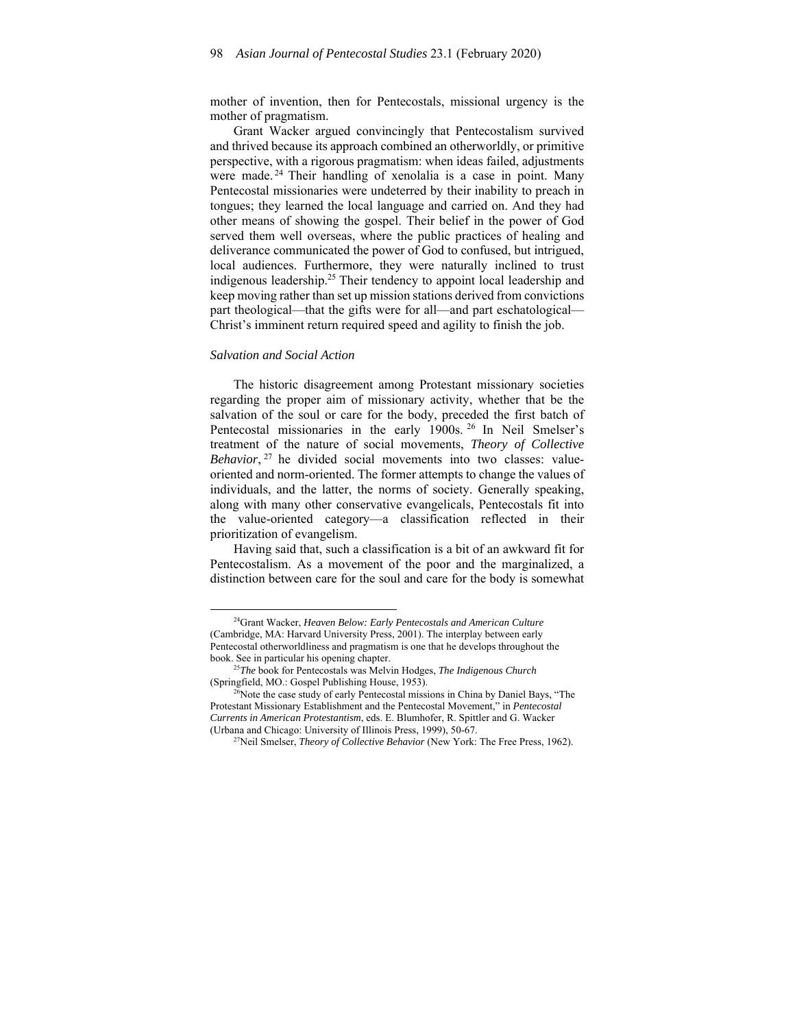mother of invention, then for Pentecostals, missional urgency is the mother of pragmatism.

Grant Wacker argued convincingly that Pentecostalism survived and thrived because its approach combined an otherworldly, or primitive perspective, with a rigorous pragmatism: when ideas failed, adjustments were made.<sup>24</sup> Their handling of xenolalia is a case in point. Many Pentecostal missionaries were undeterred by their inability to preach in tongues; they learned the local language and carried on. And they had other means of showing the gospel. Their belief in the power of God served them well overseas, where the public practices of healing and deliverance communicated the power of God to confused, but intrigued, local audiences. Furthermore, they were naturally inclined to trust indigenous leadership.25 Their tendency to appoint local leadership and keep moving rather than set up mission stations derived from convictions part theological––that the gifts were for all––and part eschatological–– Christ's imminent return required speed and agility to finish the job.

### *Salvation and Social Action*

The historic disagreement among Protestant missionary societies regarding the proper aim of missionary activity, whether that be the salvation of the soul or care for the body, preceded the first batch of Pentecostal missionaries in the early 1900s. 26 In Neil Smelser's treatment of the nature of social movements, *Theory of Collective Behavior*, <sup>27</sup> he divided social movements into two classes: valueoriented and norm-oriented. The former attempts to change the values of individuals, and the latter, the norms of society. Generally speaking, along with many other conservative evangelicals, Pentecostals fit into the value-oriented category––a classification reflected in their prioritization of evangelism.

Having said that, such a classification is a bit of an awkward fit for Pentecostalism. As a movement of the poor and the marginalized, a distinction between care for the soul and care for the body is somewhat

<sup>24</sup>Grant Wacker, *Heaven Below: Early Pentecostals and American Culture*  (Cambridge, MA: Harvard University Press, 2001). The interplay between early Pentecostal otherworldliness and pragmatism is one that he develops throughout the

<sup>&</sup>lt;sup>25</sup>The book for Pentecostals was Melvin Hodges, *The Indigenous Church* (Springfield, MO.: Gospel Publishing House, 1953).<br><sup>26</sup>Note the case study of early Pentecostal missions in China by Daniel Bays, "The

Protestant Missionary Establishment and the Pentecostal Movement," in *Pentecostal Currents in American Protestantism*, eds. E. Blumhofer, R. Spittler and G. Wacker (Urbana and Chicago: University of Illinois Press, 1999), 50-67.

<sup>27</sup>Neil Smelser, *Theory of Collective Behavior* (New York: The Free Press, 1962).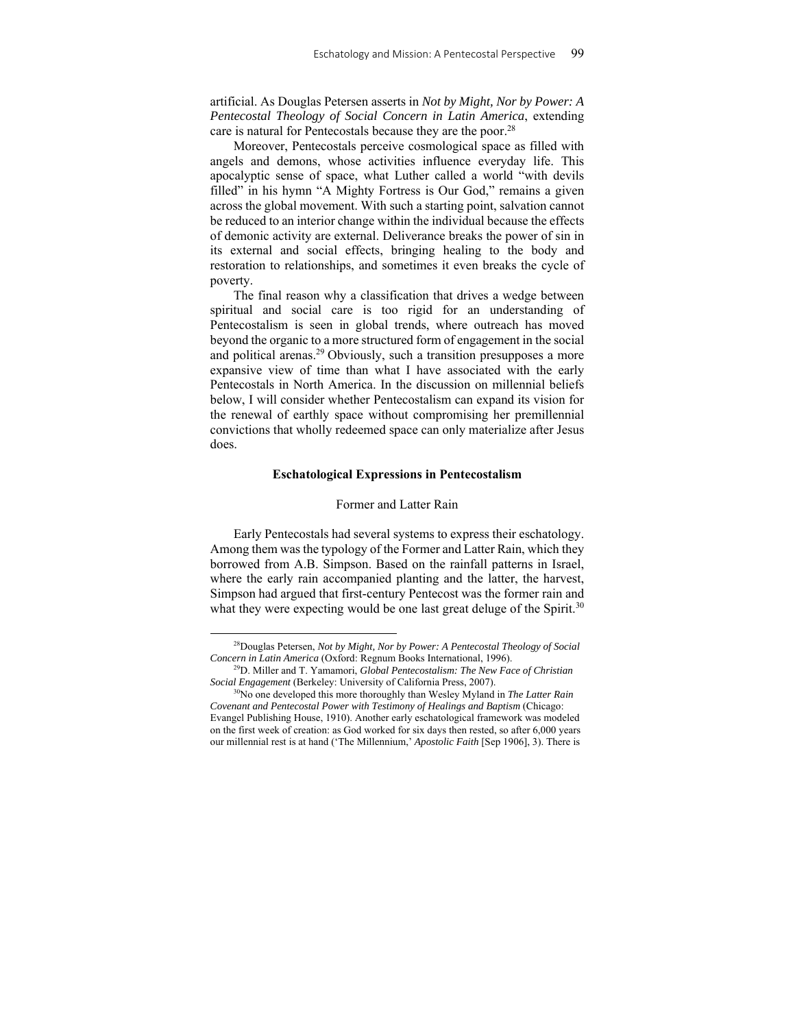artificial. As Douglas Petersen asserts in *Not by Might, Nor by Power: A Pentecostal Theology of Social Concern in Latin America*, extending care is natural for Pentecostals because they are the poor.28

Moreover, Pentecostals perceive cosmological space as filled with angels and demons, whose activities influence everyday life. This apocalyptic sense of space, what Luther called a world "with devils filled" in his hymn "A Mighty Fortress is Our God," remains a given across the global movement. With such a starting point, salvation cannot be reduced to an interior change within the individual because the effects of demonic activity are external. Deliverance breaks the power of sin in its external and social effects, bringing healing to the body and restoration to relationships, and sometimes it even breaks the cycle of poverty.

The final reason why a classification that drives a wedge between spiritual and social care is too rigid for an understanding of Pentecostalism is seen in global trends, where outreach has moved beyond the organic to a more structured form of engagement in the social and political arenas.<sup>29</sup> Obviously, such a transition presupposes a more expansive view of time than what I have associated with the early Pentecostals in North America. In the discussion on millennial beliefs below, I will consider whether Pentecostalism can expand its vision for the renewal of earthly space without compromising her premillennial convictions that wholly redeemed space can only materialize after Jesus does.

#### **Eschatological Expressions in Pentecostalism**

## Former and Latter Rain

Early Pentecostals had several systems to express their eschatology. Among them was the typology of the Former and Latter Rain, which they borrowed from A.B. Simpson. Based on the rainfall patterns in Israel, where the early rain accompanied planting and the latter, the harvest, Simpson had argued that first-century Pentecost was the former rain and what they were expecting would be one last great deluge of the Spirit.<sup>30</sup>

<sup>28</sup>Douglas Petersen, *Not by Might, Nor by Power: A Pentecostal Theology of Social Concern in Latin America* (Oxford: Regnum Books International, 1996).

<sup>29</sup>D. Miller and T. Yamamori, *Global Pentecostalism: The New Face of Christian Social Engagement* (Berkeley: University of California Press, 2007).

<sup>30</sup>No one developed this more thoroughly than Wesley Myland in *The Latter Rain Covenant and Pentecostal Power with Testimony of Healings and Baptism* (Chicago: Evangel Publishing House, 1910). Another early eschatological framework was modeled on the first week of creation: as God worked for six days then rested, so after 6,000 years our millennial rest is at hand ('The Millennium,' *Apostolic Faith* [Sep 1906], 3). There is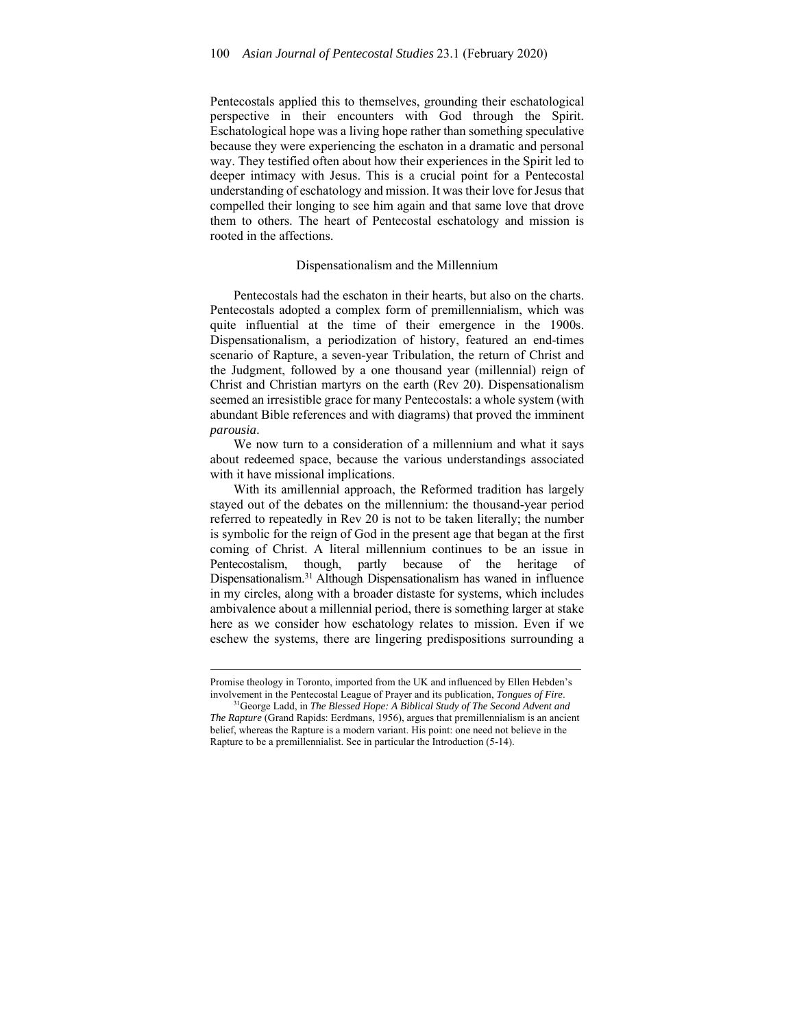Pentecostals applied this to themselves, grounding their eschatological perspective in their encounters with God through the Spirit. Eschatological hope was a living hope rather than something speculative because they were experiencing the eschaton in a dramatic and personal way. They testified often about how their experiences in the Spirit led to deeper intimacy with Jesus. This is a crucial point for a Pentecostal understanding of eschatology and mission. It was their love for Jesus that compelled their longing to see him again and that same love that drove them to others. The heart of Pentecostal eschatology and mission is rooted in the affections.

#### Dispensationalism and the Millennium

Pentecostals had the eschaton in their hearts, but also on the charts. Pentecostals adopted a complex form of premillennialism, which was quite influential at the time of their emergence in the 1900s. Dispensationalism, a periodization of history, featured an end-times scenario of Rapture, a seven-year Tribulation, the return of Christ and the Judgment, followed by a one thousand year (millennial) reign of Christ and Christian martyrs on the earth (Rev 20). Dispensationalism seemed an irresistible grace for many Pentecostals: a whole system (with abundant Bible references and with diagrams) that proved the imminent *parousia*.

We now turn to a consideration of a millennium and what it says about redeemed space, because the various understandings associated with it have missional implications.

With its amillennial approach, the Reformed tradition has largely stayed out of the debates on the millennium: the thousand-year period referred to repeatedly in Rev 20 is not to be taken literally; the number is symbolic for the reign of God in the present age that began at the first coming of Christ. A literal millennium continues to be an issue in Pentecostalism, though, partly because of the heritage of Dispensationalism.31 Although Dispensationalism has waned in influence in my circles, along with a broader distaste for systems, which includes ambivalence about a millennial period, there is something larger at stake here as we consider how eschatology relates to mission. Even if we eschew the systems, there are lingering predispositions surrounding a

Promise theology in Toronto, imported from the UK and influenced by Ellen Hebden's involvement in the Pentecostal League of Prayer and its publication, *Tongues of Fire*. 31George Ladd, in *The Blessed Hope: A Biblical Study of The Second Advent and* 

*The Rapture* (Grand Rapids: Eerdmans, 1956), argues that premillennialism is an ancient belief, whereas the Rapture is a modern variant. His point: one need not believe in the Rapture to be a premillennialist. See in particular the Introduction (5-14).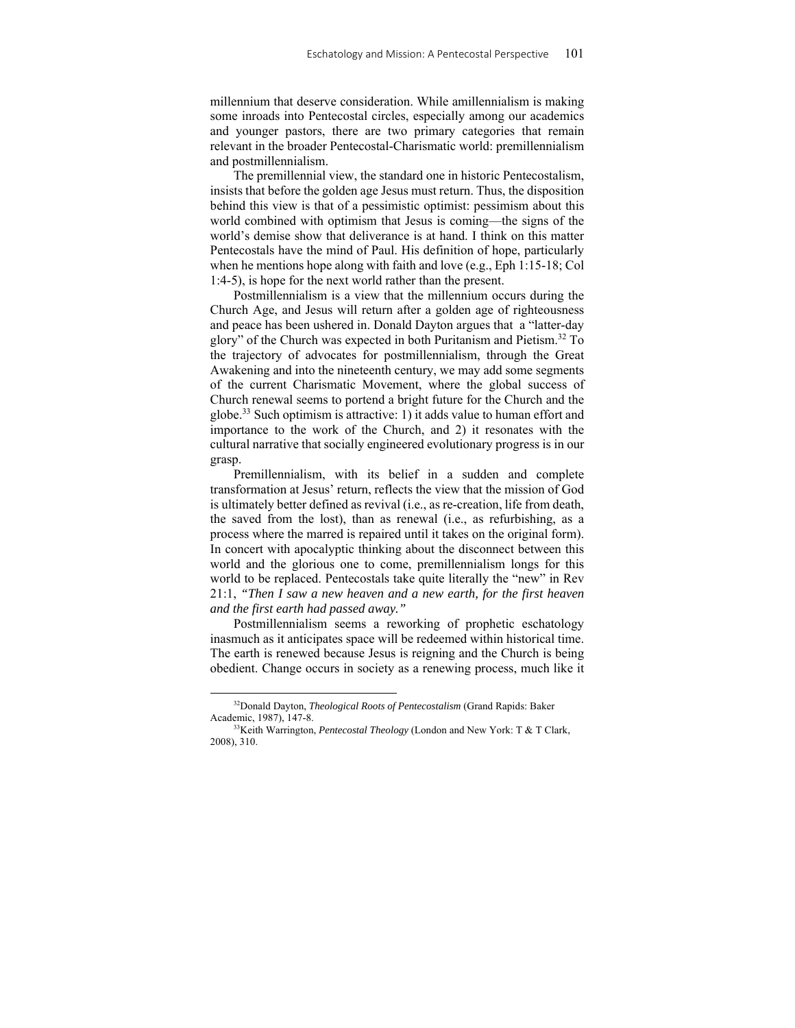millennium that deserve consideration. While amillennialism is making some inroads into Pentecostal circles, especially among our academics and younger pastors, there are two primary categories that remain relevant in the broader Pentecostal-Charismatic world: premillennialism and postmillennialism.

The premillennial view, the standard one in historic Pentecostalism, insists that before the golden age Jesus must return. Thus, the disposition behind this view is that of a pessimistic optimist: pessimism about this world combined with optimism that Jesus is coming––the signs of the world's demise show that deliverance is at hand. I think on this matter Pentecostals have the mind of Paul. His definition of hope, particularly when he mentions hope along with faith and love (e.g., Eph 1:15-18; Col 1:4-5), is hope for the next world rather than the present.

Postmillennialism is a view that the millennium occurs during the Church Age, and Jesus will return after a golden age of righteousness and peace has been ushered in. Donald Dayton argues that a "latter-day glory" of the Church was expected in both Puritanism and Pietism.32 To the trajectory of advocates for postmillennialism, through the Great Awakening and into the nineteenth century, we may add some segments of the current Charismatic Movement, where the global success of Church renewal seems to portend a bright future for the Church and the globe.33 Such optimism is attractive: 1) it adds value to human effort and importance to the work of the Church, and 2) it resonates with the cultural narrative that socially engineered evolutionary progress is in our grasp.

Premillennialism, with its belief in a sudden and complete transformation at Jesus' return, reflects the view that the mission of God is ultimately better defined as revival (i.e., as re-creation, life from death, the saved from the lost), than as renewal (i.e., as refurbishing, as a process where the marred is repaired until it takes on the original form). In concert with apocalyptic thinking about the disconnect between this world and the glorious one to come, premillennialism longs for this world to be replaced. Pentecostals take quite literally the "new" in Rev 21:1, *"Then I saw a new heaven and a new earth, for the first heaven and the first earth had passed away."* 

Postmillennialism seems a reworking of prophetic eschatology inasmuch as it anticipates space will be redeemed within historical time. The earth is renewed because Jesus is reigning and the Church is being obedient. Change occurs in society as a renewing process, much like it

<sup>32</sup>Donald Dayton, *Theological Roots of Pentecostalism* (Grand Rapids: Baker Academic, 1987), 147-8.<br><sup>33</sup>Keith Warrington, *Pentecostal Theology* (London and New York: T & T Clark,

<sup>2008), 310.</sup>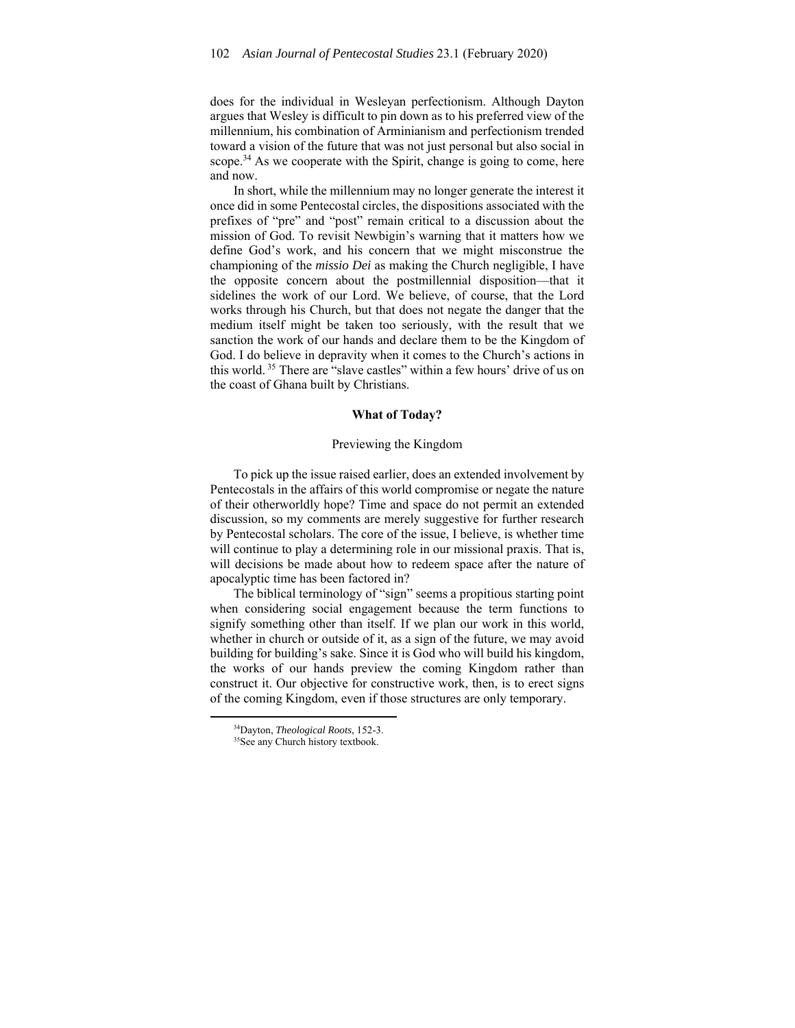does for the individual in Wesleyan perfectionism. Although Dayton argues that Wesley is difficult to pin down as to his preferred view of the millennium, his combination of Arminianism and perfectionism trended toward a vision of the future that was not just personal but also social in scope.<sup>34</sup> As we cooperate with the Spirit, change is going to come, here and now.

In short, while the millennium may no longer generate the interest it once did in some Pentecostal circles, the dispositions associated with the prefixes of "pre" and "post" remain critical to a discussion about the mission of God. To revisit Newbigin's warning that it matters how we define God's work, and his concern that we might misconstrue the championing of the *missio Dei* as making the Church negligible, I have the opposite concern about the postmillennial disposition––that it sidelines the work of our Lord. We believe, of course, that the Lord works through his Church, but that does not negate the danger that the medium itself might be taken too seriously, with the result that we sanction the work of our hands and declare them to be the Kingdom of God. I do believe in depravity when it comes to the Church's actions in this world. 35 There are "slave castles" within a few hours' drive of us on the coast of Ghana built by Christians.

## **What of Today?**

#### Previewing the Kingdom

To pick up the issue raised earlier, does an extended involvement by Pentecostals in the affairs of this world compromise or negate the nature of their otherworldly hope? Time and space do not permit an extended discussion, so my comments are merely suggestive for further research by Pentecostal scholars. The core of the issue, I believe, is whether time will continue to play a determining role in our missional praxis. That is, will decisions be made about how to redeem space after the nature of apocalyptic time has been factored in?

The biblical terminology of "sign" seems a propitious starting point when considering social engagement because the term functions to signify something other than itself. If we plan our work in this world, whether in church or outside of it, as a sign of the future, we may avoid building for building's sake. Since it is God who will build his kingdom, the works of our hands preview the coming Kingdom rather than construct it. Our objective for constructive work, then, is to erect signs of the coming Kingdom, even if those structures are only temporary.

<sup>&</sup>lt;sup>34</sup>Dayton, *Theological Roots*, 152-3.<br><sup>35</sup>See any Church history textbook.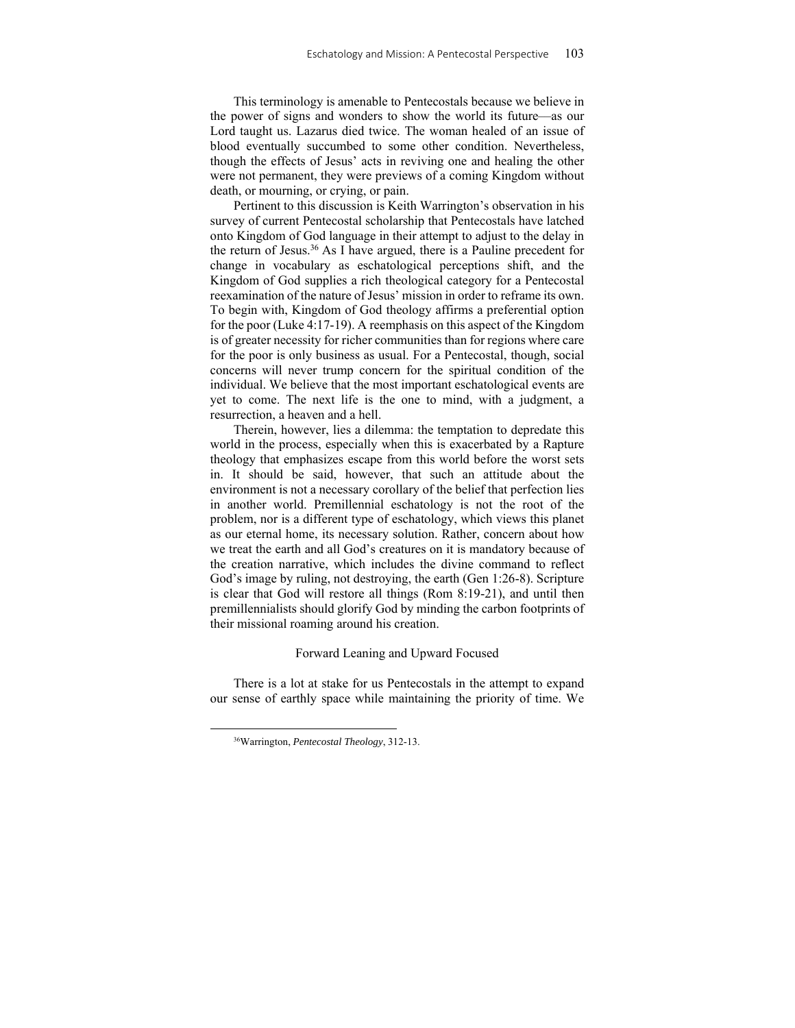This terminology is amenable to Pentecostals because we believe in the power of signs and wonders to show the world its future––as our Lord taught us. Lazarus died twice. The woman healed of an issue of blood eventually succumbed to some other condition. Nevertheless, though the effects of Jesus' acts in reviving one and healing the other were not permanent, they were previews of a coming Kingdom without death, or mourning, or crying, or pain.

Pertinent to this discussion is Keith Warrington's observation in his survey of current Pentecostal scholarship that Pentecostals have latched onto Kingdom of God language in their attempt to adjust to the delay in the return of Jesus.36 As I have argued, there is a Pauline precedent for change in vocabulary as eschatological perceptions shift, and the Kingdom of God supplies a rich theological category for a Pentecostal reexamination of the nature of Jesus' mission in order to reframe its own. To begin with, Kingdom of God theology affirms a preferential option for the poor (Luke 4:17-19). A reemphasis on this aspect of the Kingdom is of greater necessity for richer communities than for regions where care for the poor is only business as usual. For a Pentecostal, though, social concerns will never trump concern for the spiritual condition of the individual. We believe that the most important eschatological events are yet to come. The next life is the one to mind, with a judgment, a resurrection, a heaven and a hell.

Therein, however, lies a dilemma: the temptation to depredate this world in the process, especially when this is exacerbated by a Rapture theology that emphasizes escape from this world before the worst sets in. It should be said, however, that such an attitude about the environment is not a necessary corollary of the belief that perfection lies in another world. Premillennial eschatology is not the root of the problem, nor is a different type of eschatology, which views this planet as our eternal home, its necessary solution. Rather, concern about how we treat the earth and all God's creatures on it is mandatory because of the creation narrative, which includes the divine command to reflect God's image by ruling, not destroying, the earth (Gen 1:26-8). Scripture is clear that God will restore all things (Rom 8:19-21), and until then premillennialists should glorify God by minding the carbon footprints of their missional roaming around his creation.

#### Forward Leaning and Upward Focused

There is a lot at stake for us Pentecostals in the attempt to expand our sense of earthly space while maintaining the priority of time. We

<sup>36</sup>Warrington, *Pentecostal Theology*, 312-13.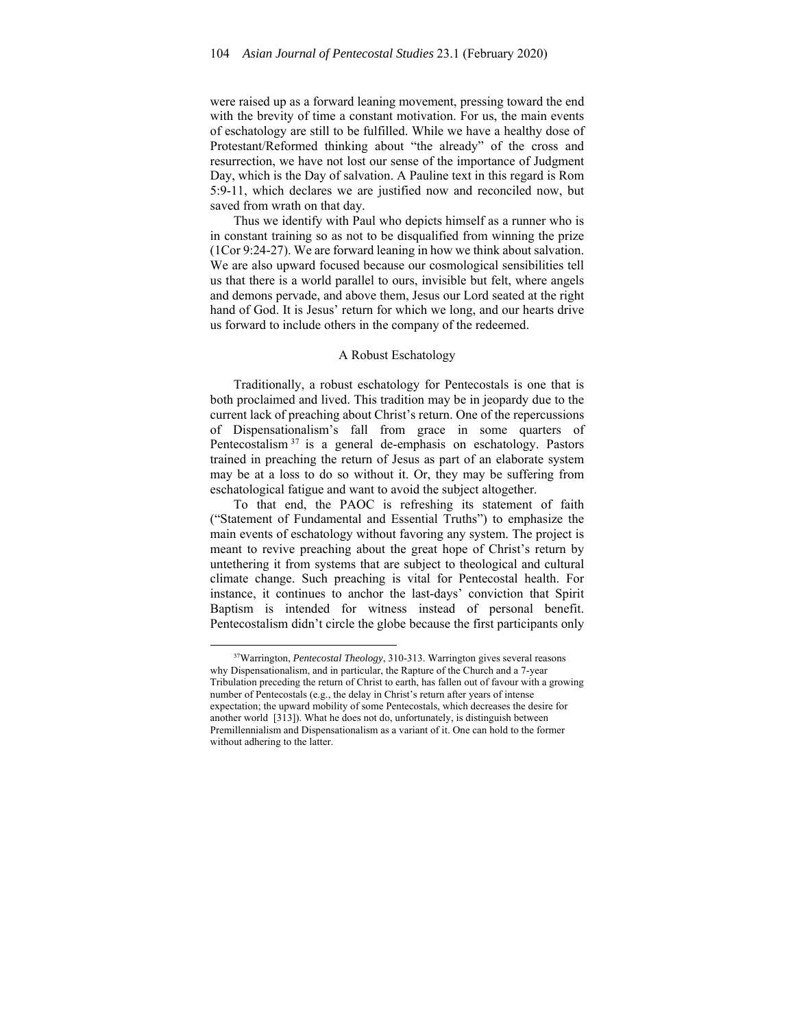were raised up as a forward leaning movement, pressing toward the end with the brevity of time a constant motivation. For us, the main events of eschatology are still to be fulfilled. While we have a healthy dose of Protestant/Reformed thinking about "the already" of the cross and resurrection, we have not lost our sense of the importance of Judgment Day, which is the Day of salvation. A Pauline text in this regard is Rom 5:9-11, which declares we are justified now and reconciled now, but saved from wrath on that day.

Thus we identify with Paul who depicts himself as a runner who is in constant training so as not to be disqualified from winning the prize (1Cor 9:24-27). We are forward leaning in how we think about salvation. We are also upward focused because our cosmological sensibilities tell us that there is a world parallel to ours, invisible but felt, where angels and demons pervade, and above them, Jesus our Lord seated at the right hand of God. It is Jesus' return for which we long, and our hearts drive us forward to include others in the company of the redeemed.

## A Robust Eschatology

Traditionally, a robust eschatology for Pentecostals is one that is both proclaimed and lived. This tradition may be in jeopardy due to the current lack of preaching about Christ's return. One of the repercussions of Dispensationalism's fall from grace in some quarters of Pentecostalism 37 is a general de-emphasis on eschatology. Pastors trained in preaching the return of Jesus as part of an elaborate system may be at a loss to do so without it. Or, they may be suffering from eschatological fatigue and want to avoid the subject altogether.

To that end, the PAOC is refreshing its statement of faith ("Statement of Fundamental and Essential Truths") to emphasize the main events of eschatology without favoring any system. The project is meant to revive preaching about the great hope of Christ's return by untethering it from systems that are subject to theological and cultural climate change. Such preaching is vital for Pentecostal health. For instance, it continues to anchor the last-days' conviction that Spirit Baptism is intended for witness instead of personal benefit. Pentecostalism didn't circle the globe because the first participants only

<sup>37</sup>Warrington, *Pentecostal Theology*, 310-313. Warrington gives several reasons why Dispensationalism, and in particular, the Rapture of the Church and a 7-year Tribulation preceding the return of Christ to earth, has fallen out of favour with a growing number of Pentecostals (e.g., the delay in Christ's return after years of intense expectation; the upward mobility of some Pentecostals, which decreases the desire for another world [313]). What he does not do, unfortunately, is distinguish between Premillennialism and Dispensationalism as a variant of it. One can hold to the former without adhering to the latter.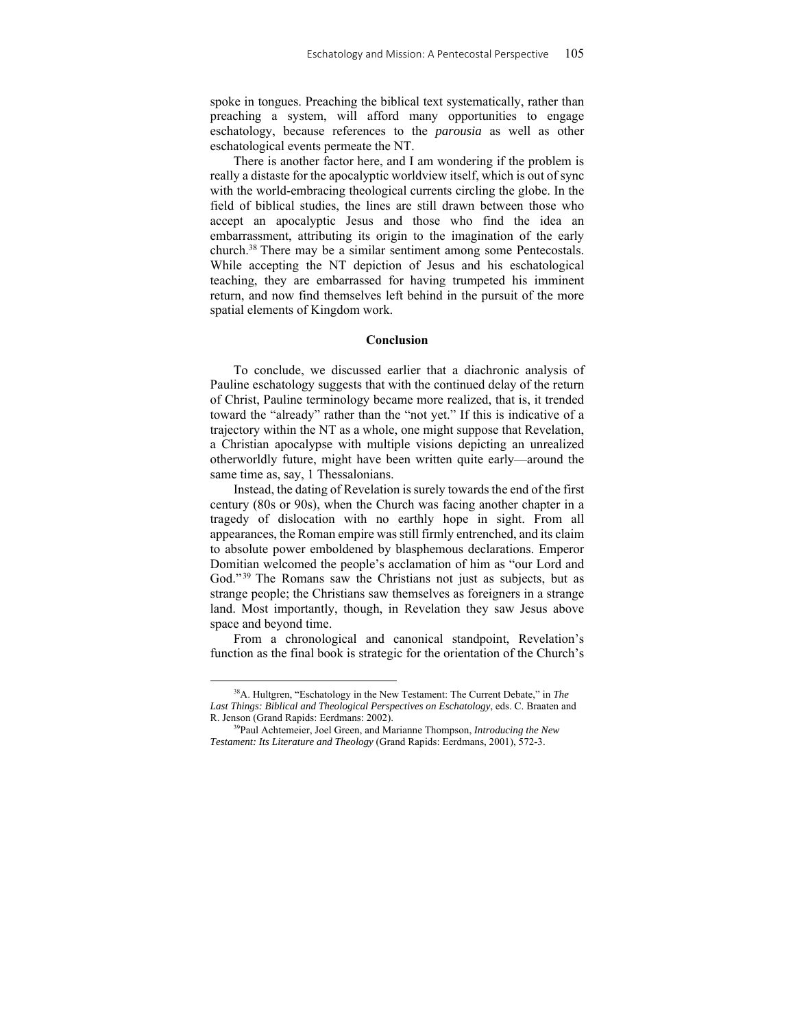spoke in tongues. Preaching the biblical text systematically, rather than preaching a system, will afford many opportunities to engage eschatology, because references to the *parousia* as well as other eschatological events permeate the NT.

There is another factor here, and I am wondering if the problem is really a distaste for the apocalyptic worldview itself, which is out of sync with the world-embracing theological currents circling the globe. In the field of biblical studies, the lines are still drawn between those who accept an apocalyptic Jesus and those who find the idea an embarrassment, attributing its origin to the imagination of the early church.38 There may be a similar sentiment among some Pentecostals. While accepting the NT depiction of Jesus and his eschatological teaching, they are embarrassed for having trumpeted his imminent return, and now find themselves left behind in the pursuit of the more spatial elements of Kingdom work.

## **Conclusion**

To conclude, we discussed earlier that a diachronic analysis of Pauline eschatology suggests that with the continued delay of the return of Christ, Pauline terminology became more realized, that is, it trended toward the "already" rather than the "not yet." If this is indicative of a trajectory within the NT as a whole, one might suppose that Revelation, a Christian apocalypse with multiple visions depicting an unrealized otherworldly future, might have been written quite early––around the same time as, say, 1 Thessalonians.

Instead, the dating of Revelation is surely towards the end of the first century (80s or 90s), when the Church was facing another chapter in a tragedy of dislocation with no earthly hope in sight. From all appearances, the Roman empire was still firmly entrenched, and its claim to absolute power emboldened by blasphemous declarations. Emperor Domitian welcomed the people's acclamation of him as "our Lord and God."<sup>39</sup> The Romans saw the Christians not just as subjects, but as strange people; the Christians saw themselves as foreigners in a strange land. Most importantly, though, in Revelation they saw Jesus above space and beyond time.

From a chronological and canonical standpoint, Revelation's function as the final book is strategic for the orientation of the Church's

<sup>38</sup>A. Hultgren, "Eschatology in the New Testament: The Current Debate," in *The Last Things: Biblical and Theological Perspectives on Eschatology*, eds. C. Braaten and R. Jenson (Grand Rapids: Eerdmans: 2002). 39Paul Achtemeier, Joel Green, and Marianne Thompson, *Introducing the New* 

*Testament: Its Literature and Theology* (Grand Rapids: Eerdmans, 2001), 572-3.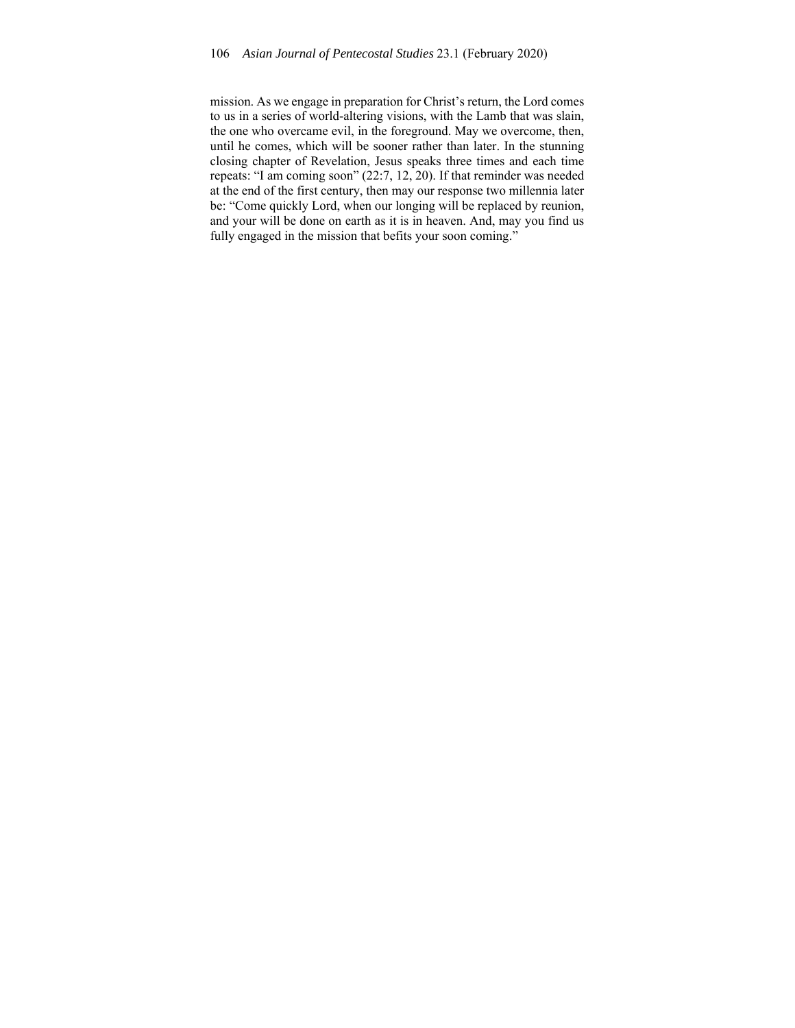mission. As we engage in preparation for Christ's return, the Lord comes to us in a series of world-altering visions, with the Lamb that was slain, the one who overcame evil, in the foreground. May we overcome, then, until he comes, which will be sooner rather than later. In the stunning closing chapter of Revelation, Jesus speaks three times and each time repeats: "I am coming soon" (22:7, 12, 20). If that reminder was needed at the end of the first century, then may our response two millennia later be: "Come quickly Lord, when our longing will be replaced by reunion, and your will be done on earth as it is in heaven. And, may you find us fully engaged in the mission that befits your soon coming."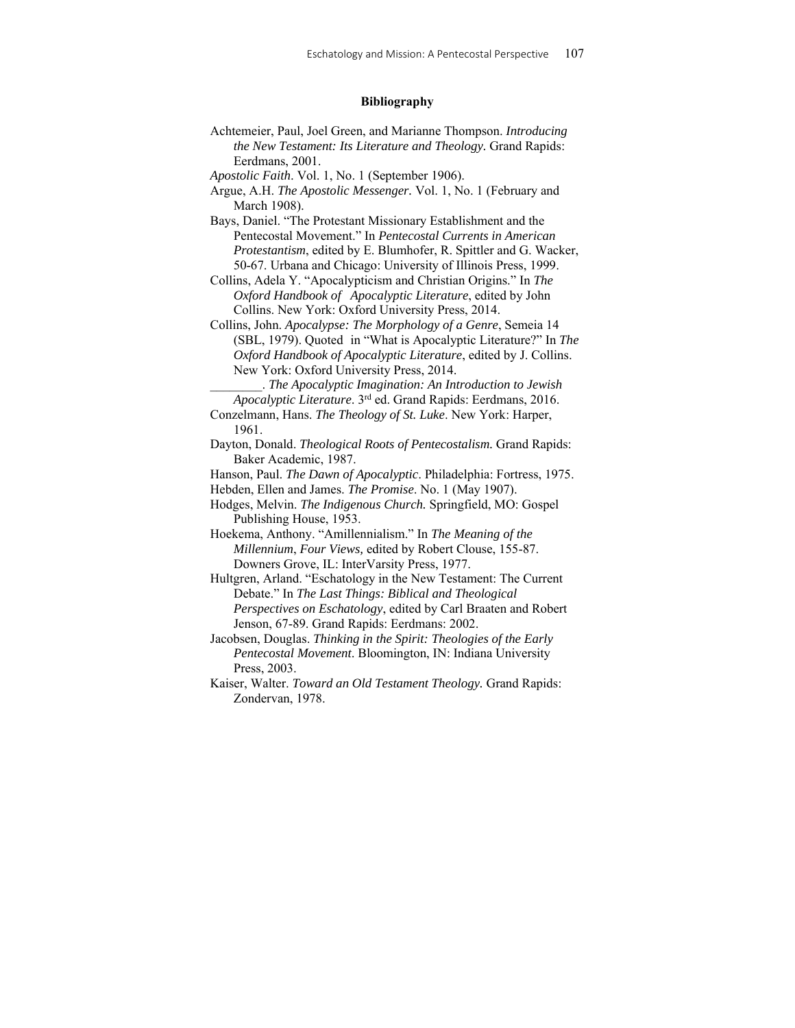## **Bibliography**

Achtemeier, Paul, Joel Green, and Marianne Thompson. *Introducing the New Testament: Its Literature and Theology.* Grand Rapids: Eerdmans, 2001.

*Apostolic Faith*. Vol. 1, No. 1 (September 1906).

Argue, A.H. *The Apostolic Messenger.* Vol. 1, No. 1 (February and March 1908).

Bays, Daniel. "The Protestant Missionary Establishment and the Pentecostal Movement." In *Pentecostal Currents in American Protestantism*, edited by E. Blumhofer, R. Spittler and G. Wacker, 50-67. Urbana and Chicago: University of Illinois Press, 1999.

Collins, Adela Y. "Apocalypticism and Christian Origins." In *The Oxford Handbook of Apocalyptic Literature*, edited by John Collins. New York: Oxford University Press, 2014.

Collins, John. *Apocalypse: The Morphology of a Genre*, Semeia 14 (SBL, 1979). Quoted in "What is Apocalyptic Literature?" In *The Oxford Handbook of Apocalyptic Literature*, edited by J. Collins. New York: Oxford University Press, 2014.

\_\_\_\_\_\_\_\_. *The Apocalyptic Imagination: An Introduction to Jewish Apocalyptic Literature*. 3rd ed. Grand Rapids: Eerdmans, 2016. Conzelmann, Hans. *The Theology of St. Luke*. New York: Harper,

1961. Dayton, Donald. *Theological Roots of Pentecostalism.* Grand Rapids: Baker Academic, 1987.

Hanson, Paul. *The Dawn of Apocalyptic*. Philadelphia: Fortress, 1975.

Hebden, Ellen and James. *The Promise*. No. 1 (May 1907).

Hodges, Melvin. *The Indigenous Church.* Springfield, MO: Gospel Publishing House, 1953.

Hoekema, Anthony. "Amillennialism." In *The Meaning of the Millennium*, *Four Views,* edited by Robert Clouse, 155-87. Downers Grove, IL: InterVarsity Press, 1977.

Hultgren, Arland. "Eschatology in the New Testament: The Current Debate." In *The Last Things: Biblical and Theological Perspectives on Eschatology*, edited by Carl Braaten and Robert Jenson, 67-89. Grand Rapids: Eerdmans: 2002.

Jacobsen, Douglas. *Thinking in the Spirit: Theologies of the Early Pentecostal Movement*. Bloomington, IN: Indiana University Press, 2003.

Kaiser, Walter. *Toward an Old Testament Theology.* Grand Rapids: Zondervan, 1978.